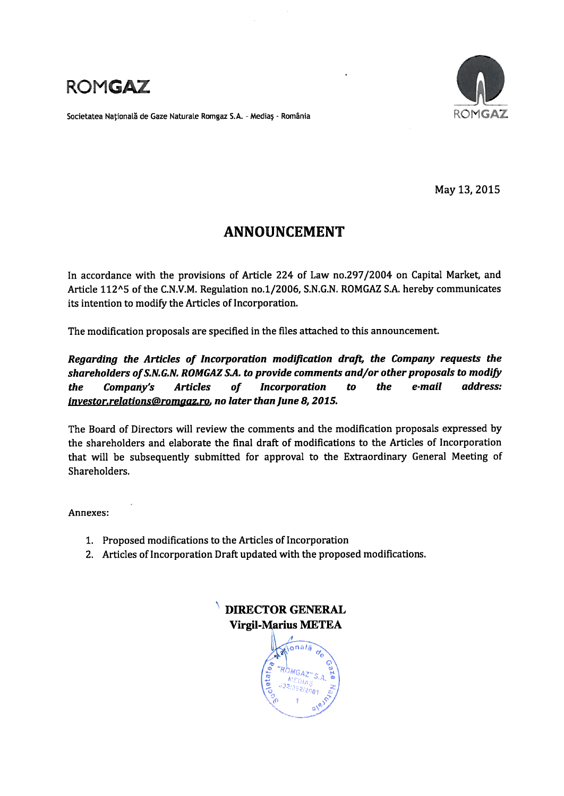

Societatea Națională de Gaze Naturale Romgaz S.A. - Mediaș - România



May 13, 2015

# **ANNOUNCEMENT**

In accordance with the provisions of Article 224 of Law no.297/2004 on Capital Market, and Article 112^5 of the C.N.V.M. Regulation no.1/2006, S.N.G.N. ROMGAZ S.A. hereby communicates its intention to modify the Articles of Incorporation.

The modification proposals are specified in the files attached to this announcement.

Regarding the Articles of Incorporation modification draft, the Company requests the shareholders of S.N.G.N. ROMGAZ S.A. to provide comments and/or other proposals to modify the Company's **Articles** of **Incorporation**  $to$ the e-mail address: investor.relations@romaaz.ro, no later than June 8, 2015.

The Board of Directors will review the comments and the modification proposals expressed by the shareholders and elaborate the final draft of modifications to the Articles of Incorporation that will be subsequently submitted for approval to the Extraordinary General Meeting of Shareholders.

Annexes:

- 1. Proposed modifications to the Articles of Incorporation
- 2. Articles of Incorporation Draft updated with the proposed modifications.

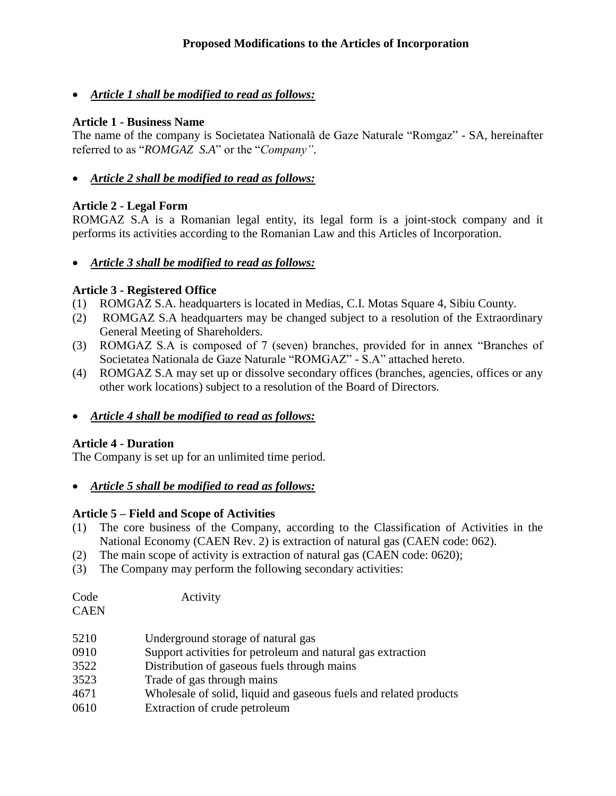*Article 1 shall be modified to read as follows:*

## **Article 1 - Business Name**

The name of the company is Societatea Natională de Gaze Naturale "Romgaz" - SA, hereinafter referred to as "*ROMGAZ S.A*" or the "*Company"*.

*Article 2 shall be modified to read as follows:*

## **Article 2 - Legal Form**

ROMGAZ S.A is a Romanian legal entity, its legal form is a joint-stock company and it performs its activities according to the Romanian Law and this Articles of Incorporation.

## *Article 3 shall be modified to read as follows:*

## **Article 3 - Registered Office**

- (1) ROMGAZ S.A. headquarters is located in Medias, C.I. Motas Square 4, Sibiu County.
- (2) ROMGAZ S.A headquarters may be changed subject to a resolution of the Extraordinary General Meeting of Shareholders.
- (3) ROMGAZ S.A is composed of 7 (seven) branches, provided for in annex "Branches of Societatea Nationala de Gaze Naturale "ROMGAZ" - S.A" attached hereto.
- (4) ROMGAZ S.A may set up or dissolve secondary offices (branches, agencies, offices or any other work locations) subject to a resolution of the Board of Directors.
- *Article 4 shall be modified to read as follows:*

## **Article 4 - Duration**

The Company is set up for an unlimited time period.

*Article 5 shall be modified to read as follows:*

## **Article 5 – Field and Scope of Activities**

- (1) The core business of the Company, according to the Classification of Activities in the National Economy (CAEN Rev. 2) is extraction of natural gas (CAEN code: 062).
- (2) The main scope of activity is extraction of natural gas (CAEN code: 0620);
- (3) The Company may perform the following secondary activities:

| Code | Activity |
|------|----------|
|      |          |

**CAEN** 

- 0910 Support activities for petroleum and natural gas extraction
- 3522 Distribution of gaseous fuels through mains
- 3523 Trade of gas through mains
- 4671 Wholesale of solid, liquid and gaseous fuels and related products
- 0610 Extraction of crude petroleum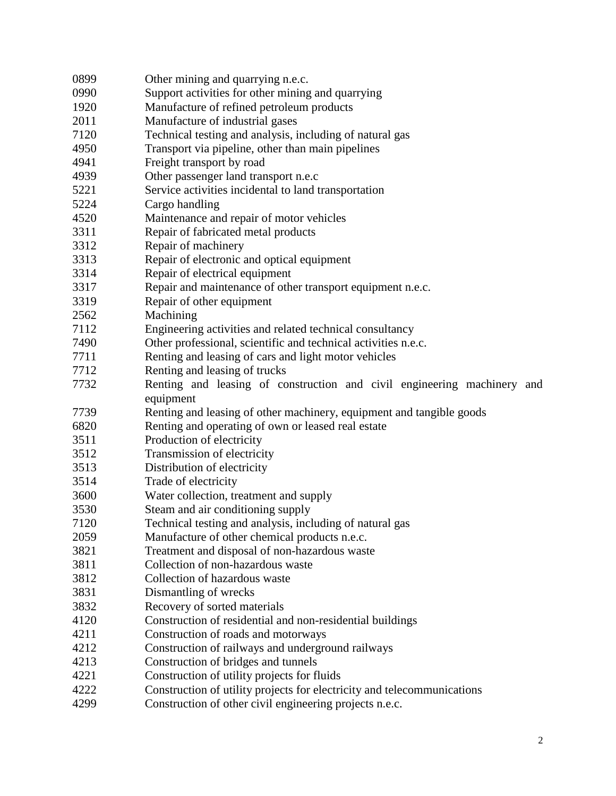| 0899<br>Other mining and quarrying n.e.c.                                       |  |  |  |
|---------------------------------------------------------------------------------|--|--|--|
| 0990<br>Support activities for other mining and quarrying                       |  |  |  |
| Manufacture of refined petroleum products<br>1920                               |  |  |  |
| 2011<br>Manufacture of industrial gases                                         |  |  |  |
| 7120<br>Technical testing and analysis, including of natural gas                |  |  |  |
| Transport via pipeline, other than main pipelines<br>4950                       |  |  |  |
| 4941<br>Freight transport by road                                               |  |  |  |
| Other passenger land transport n.e.c<br>4939                                    |  |  |  |
| 5221<br>Service activities incidental to land transportation                    |  |  |  |
| 5224<br>Cargo handling                                                          |  |  |  |
| 4520<br>Maintenance and repair of motor vehicles                                |  |  |  |
| 3311<br>Repair of fabricated metal products                                     |  |  |  |
| 3312<br>Repair of machinery                                                     |  |  |  |
| Repair of electronic and optical equipment<br>3313                              |  |  |  |
| 3314<br>Repair of electrical equipment                                          |  |  |  |
| Repair and maintenance of other transport equipment n.e.c.<br>3317              |  |  |  |
| 3319<br>Repair of other equipment                                               |  |  |  |
| Machining<br>2562                                                               |  |  |  |
| 7112<br>Engineering activities and related technical consultancy                |  |  |  |
| 7490<br>Other professional, scientific and technical activities n.e.c.          |  |  |  |
| 7711<br>Renting and leasing of cars and light motor vehicles                    |  |  |  |
| 7712<br>Renting and leasing of trucks                                           |  |  |  |
| Renting and leasing of construction and civil engineering machinery and<br>7732 |  |  |  |
| equipment                                                                       |  |  |  |
| Renting and leasing of other machinery, equipment and tangible goods<br>7739    |  |  |  |
| 6820<br>Renting and operating of own or leased real estate                      |  |  |  |
| Production of electricity<br>3511                                               |  |  |  |
| Transmission of electricity<br>3512                                             |  |  |  |
| 3513<br>Distribution of electricity                                             |  |  |  |
| Trade of electricity<br>3514                                                    |  |  |  |
| Water collection, treatment and supply<br>3600                                  |  |  |  |
| 3530<br>Steam and air conditioning supply                                       |  |  |  |
| Technical testing and analysis, including of natural gas<br>7120                |  |  |  |
| 2059<br>Manufacture of other chemical products n.e.c.                           |  |  |  |
| 3821<br>Treatment and disposal of non-hazardous waste                           |  |  |  |
| 3811<br>Collection of non-hazardous waste                                       |  |  |  |
| 3812<br>Collection of hazardous waste                                           |  |  |  |
| 3831<br>Dismantling of wrecks                                                   |  |  |  |
| 3832<br>Recovery of sorted materials                                            |  |  |  |
| 4120<br>Construction of residential and non-residential buildings               |  |  |  |
| 4211<br>Construction of roads and motorways                                     |  |  |  |
| 4212<br>Construction of railways and underground railways                       |  |  |  |
| Construction of bridges and tunnels<br>4213                                     |  |  |  |
| Construction of utility projects for fluids<br>4221                             |  |  |  |
|                                                                                 |  |  |  |
| 4222<br>Construction of utility projects for electricity and telecommunications |  |  |  |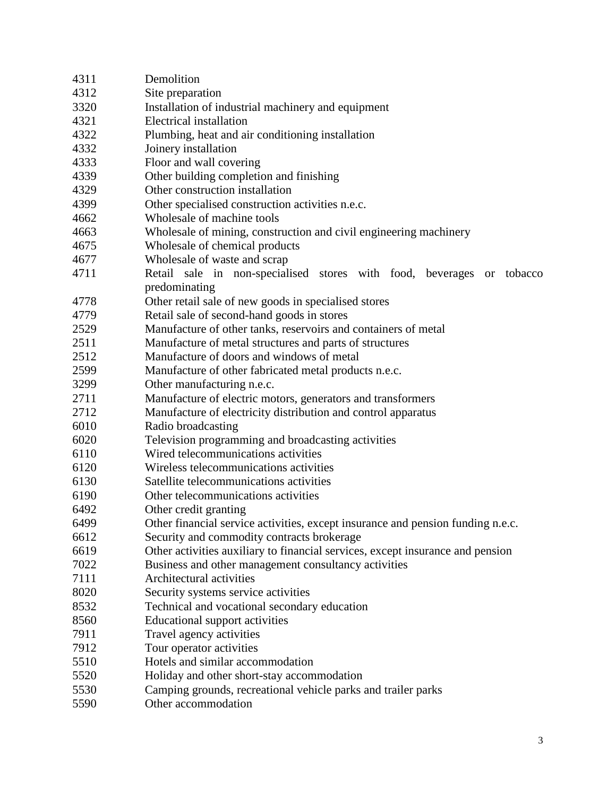| 4311 | Demolition                                                                      |  |  |
|------|---------------------------------------------------------------------------------|--|--|
| 4312 | Site preparation                                                                |  |  |
| 3320 | Installation of industrial machinery and equipment                              |  |  |
| 4321 | Electrical installation                                                         |  |  |
| 4322 | Plumbing, heat and air conditioning installation                                |  |  |
| 4332 | Joinery installation                                                            |  |  |
| 4333 | Floor and wall covering                                                         |  |  |
| 4339 | Other building completion and finishing                                         |  |  |
| 4329 | Other construction installation                                                 |  |  |
| 4399 | Other specialised construction activities n.e.c.                                |  |  |
| 4662 | Wholesale of machine tools                                                      |  |  |
| 4663 | Wholesale of mining, construction and civil engineering machinery               |  |  |
| 4675 | Wholesale of chemical products                                                  |  |  |
| 4677 | Wholesale of waste and scrap                                                    |  |  |
| 4711 | Retail sale in non-specialised stores with food, beverages<br>tobacco<br>or     |  |  |
|      | predominating                                                                   |  |  |
| 4778 | Other retail sale of new goods in specialised stores                            |  |  |
| 4779 | Retail sale of second-hand goods in stores                                      |  |  |
| 2529 | Manufacture of other tanks, reservoirs and containers of metal                  |  |  |
| 2511 | Manufacture of metal structures and parts of structures                         |  |  |
| 2512 | Manufacture of doors and windows of metal                                       |  |  |
| 2599 | Manufacture of other fabricated metal products n.e.c.                           |  |  |
| 3299 | Other manufacturing n.e.c.                                                      |  |  |
| 2711 | Manufacture of electric motors, generators and transformers                     |  |  |
| 2712 | Manufacture of electricity distribution and control apparatus                   |  |  |
| 6010 | Radio broadcasting                                                              |  |  |
| 6020 | Television programming and broadcasting activities                              |  |  |
| 6110 | Wired telecommunications activities                                             |  |  |
| 6120 | Wireless telecommunications activities                                          |  |  |
| 6130 | Satellite telecommunications activities                                         |  |  |
| 6190 | Other telecommunications activities                                             |  |  |
| 6492 | Other credit granting                                                           |  |  |
| 6499 | Other financial service activities, except insurance and pension funding n.e.c. |  |  |
| 6612 | Security and commodity contracts brokerage                                      |  |  |
| 6619 | Other activities auxiliary to financial services, except insurance and pension  |  |  |
| 7022 | Business and other management consultancy activities                            |  |  |
| 7111 | Architectural activities                                                        |  |  |
| 8020 | Security systems service activities                                             |  |  |
| 8532 | Technical and vocational secondary education                                    |  |  |
| 8560 | Educational support activities                                                  |  |  |
| 7911 | Travel agency activities                                                        |  |  |
| 7912 | Tour operator activities                                                        |  |  |
| 5510 | Hotels and similar accommodation                                                |  |  |
| 5520 | Holiday and other short-stay accommodation                                      |  |  |
| 5530 | Camping grounds, recreational vehicle parks and trailer parks                   |  |  |
| 5590 | Other accommodation                                                             |  |  |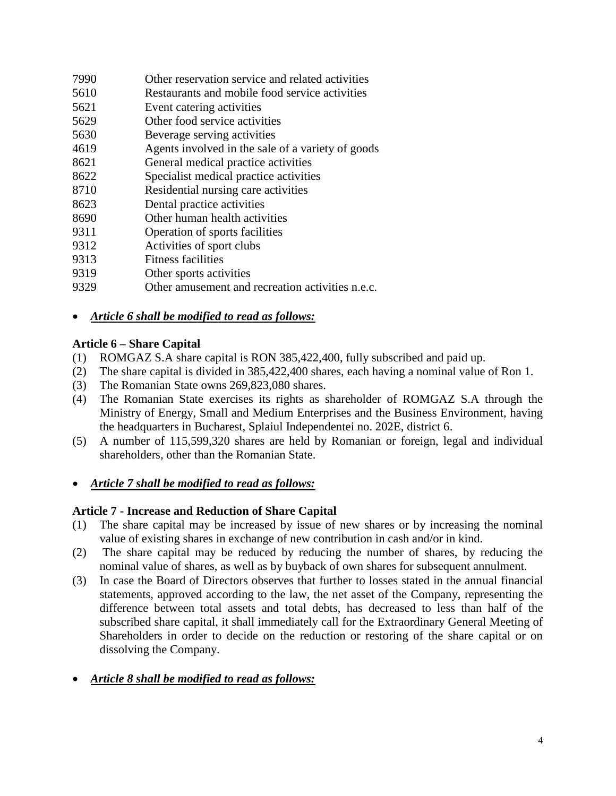| 7990 | Other reservation service and related activities |
|------|--------------------------------------------------|
|------|--------------------------------------------------|

- 5610 Restaurants and mobile food service activities
- 5621 Event catering activities
- 5629 Other food service activities
- 5630 Beverage serving activities
- 4619 Agents involved in the sale of a variety of goods
- 8621 General medical practice activities
- 8622 Specialist medical practice activities
- 8710 Residential nursing care activities
- 8623 Dental practice activities
- 8690 Other human health activities
- 9311 Operation of sports facilities
- 9312 Activities of sport clubs
- 9313 Fitness facilities
- 9319 Other sports activities
- 9329 Other amusement and recreation activities n.e.c.

## *Article 6 shall be modified to read as follows:*

## **Article 6 – Share Capital**

- (1) ROMGAZ S.A share capital is RON 385,422,400, fully subscribed and paid up.
- (2) The share capital is divided in 385,422,400 shares, each having a nominal value of Ron 1.
- (3) The Romanian State owns 269,823,080 shares.
- (4) The Romanian State exercises its rights as shareholder of ROMGAZ S.A through the Ministry of Energy, Small and Medium Enterprises and the Business Environment, having the headquarters in Bucharest, Splaiul Independentei no. 202E, district 6.
- (5) A number of 115,599,320 shares are held by Romanian or foreign, legal and individual shareholders, other than the Romanian State.

## *Article 7 shall be modified to read as follows:*

## **Article 7 - Increase and Reduction of Share Capital**

- (1) The share capital may be increased by issue of new shares or by increasing the nominal value of existing shares in exchange of new contribution in cash and/or in kind.
- (2) The share capital may be reduced by reducing the number of shares, by reducing the nominal value of shares, as well as by buyback of own shares for subsequent annulment.
- (3) In case the Board of Directors observes that further to losses stated in the annual financial statements, approved according to the law, the net asset of the Company, representing the difference between total assets and total debts, has decreased to less than half of the subscribed share capital, it shall immediately call for the Extraordinary General Meeting of Shareholders in order to decide on the reduction or restoring of the share capital or on dissolving the Company.
- *Article 8 shall be modified to read as follows:*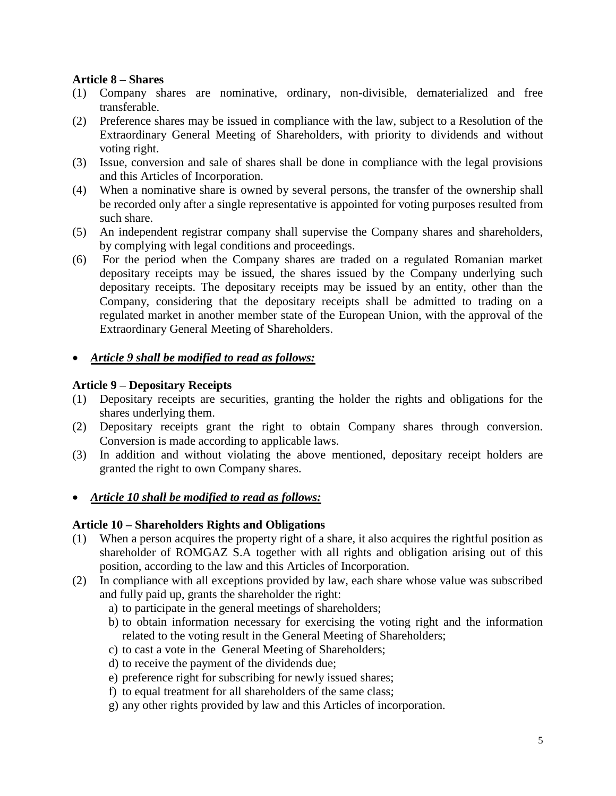#### **Article 8 – Shares**

- (1) Company shares are nominative, ordinary, non-divisible, dematerialized and free transferable.
- (2) Preference shares may be issued in compliance with the law, subject to a Resolution of the Extraordinary General Meeting of Shareholders, with priority to dividends and without voting right.
- (3) Issue, conversion and sale of shares shall be done in compliance with the legal provisions and this Articles of Incorporation.
- (4) When a nominative share is owned by several persons, the transfer of the ownership shall be recorded only after a single representative is appointed for voting purposes resulted from such share.
- (5) An independent registrar company shall supervise the Company shares and shareholders, by complying with legal conditions and proceedings.
- (6) For the period when the Company shares are traded on a regulated Romanian market depositary receipts may be issued, the shares issued by the Company underlying such depositary receipts. The depositary receipts may be issued by an entity, other than the Company, considering that the depositary receipts shall be admitted to trading on a regulated market in another member state of the European Union, with the approval of the Extraordinary General Meeting of Shareholders.
- *Article 9 shall be modified to read as follows:*

## **Article 9 – Depositary Receipts**

- (1) Depositary receipts are securities, granting the holder the rights and obligations for the shares underlying them.
- (2) Depositary receipts grant the right to obtain Company shares through conversion. Conversion is made according to applicable laws.
- (3) In addition and without violating the above mentioned, depositary receipt holders are granted the right to own Company shares.

## *Article 10 shall be modified to read as follows:*

#### **Article 10 – Shareholders Rights and Obligations**

- (1) When a person acquires the property right of a share, it also acquires the rightful position as shareholder of ROMGAZ S.A together with all rights and obligation arising out of this position, according to the law and this Articles of Incorporation.
- (2) In compliance with all exceptions provided by law, each share whose value was subscribed and fully paid up, grants the shareholder the right:
	- a) to participate in the general meetings of shareholders;
	- b) to obtain information necessary for exercising the voting right and the information related to the voting result in the General Meeting of Shareholders;
	- c) to cast a vote in the General Meeting of Shareholders;
	- d) to receive the payment of the dividends due;
	- e) preference right for subscribing for newly issued shares;
	- f) to equal treatment for all shareholders of the same class;
	- g) any other rights provided by law and this Articles of incorporation.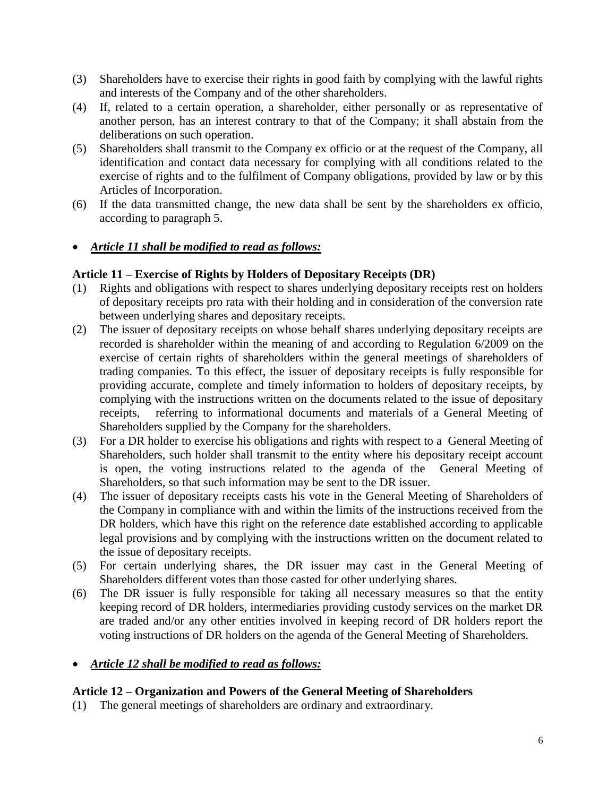- (3) Shareholders have to exercise their rights in good faith by complying with the lawful rights and interests of the Company and of the other shareholders.
- (4) If, related to a certain operation, a shareholder, either personally or as representative of another person, has an interest contrary to that of the Company; it shall abstain from the deliberations on such operation.
- (5) Shareholders shall transmit to the Company ex officio or at the request of the Company, all identification and contact data necessary for complying with all conditions related to the exercise of rights and to the fulfilment of Company obligations, provided by law or by this Articles of Incorporation.
- (6) If the data transmitted change, the new data shall be sent by the shareholders ex officio, according to paragraph 5.

## *Article 11 shall be modified to read as follows:*

## **Article 11 – Exercise of Rights by Holders of Depositary Receipts (DR)**

- (1) Rights and obligations with respect to shares underlying depositary receipts rest on holders of depositary receipts pro rata with their holding and in consideration of the conversion rate between underlying shares and depositary receipts.
- (2) The issuer of depositary receipts on whose behalf shares underlying depositary receipts are recorded is shareholder within the meaning of and according to Regulation 6/2009 on the exercise of certain rights of shareholders within the general meetings of shareholders of trading companies. To this effect, the issuer of depositary receipts is fully responsible for providing accurate, complete and timely information to holders of depositary receipts, by complying with the instructions written on the documents related to the issue of depositary receipts, referring to informational documents and materials of a General Meeting of Shareholders supplied by the Company for the shareholders.
- (3) For a DR holder to exercise his obligations and rights with respect to a General Meeting of Shareholders, such holder shall transmit to the entity where his depositary receipt account is open, the voting instructions related to the agenda of the General Meeting of Shareholders, so that such information may be sent to the DR issuer.
- (4) The issuer of depositary receipts casts his vote in the General Meeting of Shareholders of the Company in compliance with and within the limits of the instructions received from the DR holders, which have this right on the reference date established according to applicable legal provisions and by complying with the instructions written on the document related to the issue of depositary receipts.
- (5) For certain underlying shares, the DR issuer may cast in the General Meeting of Shareholders different votes than those casted for other underlying shares.
- (6) The DR issuer is fully responsible for taking all necessary measures so that the entity keeping record of DR holders, intermediaries providing custody services on the market DR are traded and/or any other entities involved in keeping record of DR holders report the voting instructions of DR holders on the agenda of the General Meeting of Shareholders.

## *Article 12 shall be modified to read as follows:*

## **Article 12 – Organization and Powers of the General Meeting of Shareholders**

(1) The general meetings of shareholders are ordinary and extraordinary.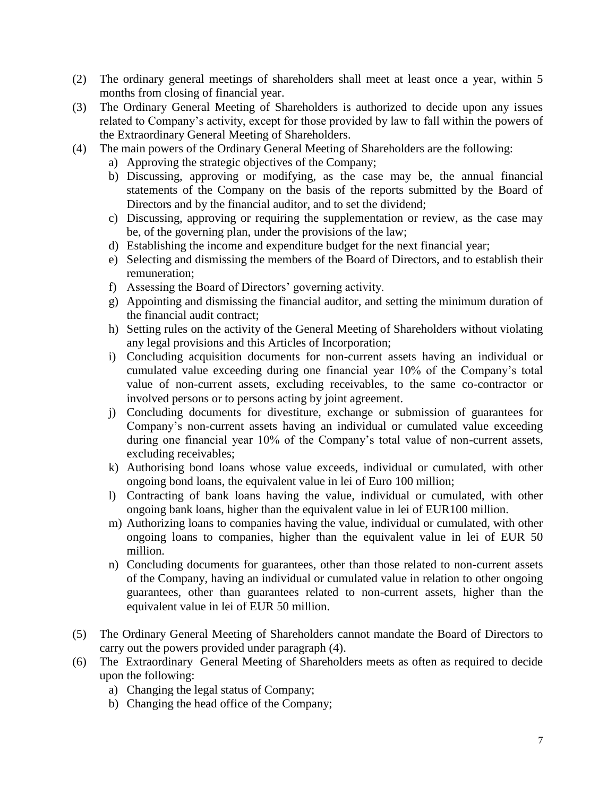- (2) The ordinary general meetings of shareholders shall meet at least once a year, within 5 months from closing of financial year.
- (3) The Ordinary General Meeting of Shareholders is authorized to decide upon any issues related to Company's activity, except for those provided by law to fall within the powers of the Extraordinary General Meeting of Shareholders.
- (4) The main powers of the Ordinary General Meeting of Shareholders are the following:
	- a) Approving the strategic objectives of the Company;
	- b) Discussing, approving or modifying, as the case may be, the annual financial statements of the Company on the basis of the reports submitted by the Board of Directors and by the financial auditor, and to set the dividend;
	- c) Discussing, approving or requiring the supplementation or review, as the case may be, of the governing plan, under the provisions of the law;
	- d) Establishing the income and expenditure budget for the next financial year;
	- e) Selecting and dismissing the members of the Board of Directors, and to establish their remuneration;
	- f) Assessing the Board of Directors' governing activity.
	- g) Appointing and dismissing the financial auditor, and setting the minimum duration of the financial audit contract;
	- h) Setting rules on the activity of the General Meeting of Shareholders without violating any legal provisions and this Articles of Incorporation;
	- i) Concluding acquisition documents for non-current assets having an individual or cumulated value exceeding during one financial year 10% of the Company's total value of non-current assets, excluding receivables, to the same co-contractor or involved persons or to persons acting by joint agreement.
	- j) Concluding documents for divestiture, exchange or submission of guarantees for Company's non-current assets having an individual or cumulated value exceeding during one financial year 10% of the Company's total value of non-current assets, excluding receivables;
	- k) Authorising bond loans whose value exceeds, individual or cumulated, with other ongoing bond loans, the equivalent value in lei of Euro 100 million;
	- l) Contracting of bank loans having the value, individual or cumulated, with other ongoing bank loans, higher than the equivalent value in lei of EUR100 million.
	- m) Authorizing loans to companies having the value, individual or cumulated, with other ongoing loans to companies, higher than the equivalent value in lei of EUR 50 million.
	- n) Concluding documents for guarantees, other than those related to non-current assets of the Company, having an individual or cumulated value in relation to other ongoing guarantees, other than guarantees related to non-current assets, higher than the equivalent value in lei of EUR 50 million.
- (5) The Ordinary General Meeting of Shareholders cannot mandate the Board of Directors to carry out the powers provided under paragraph (4).
- (6) The Extraordinary General Meeting of Shareholders meets as often as required to decide upon the following:
	- a) Changing the legal status of Company;
	- b) Changing the head office of the Company;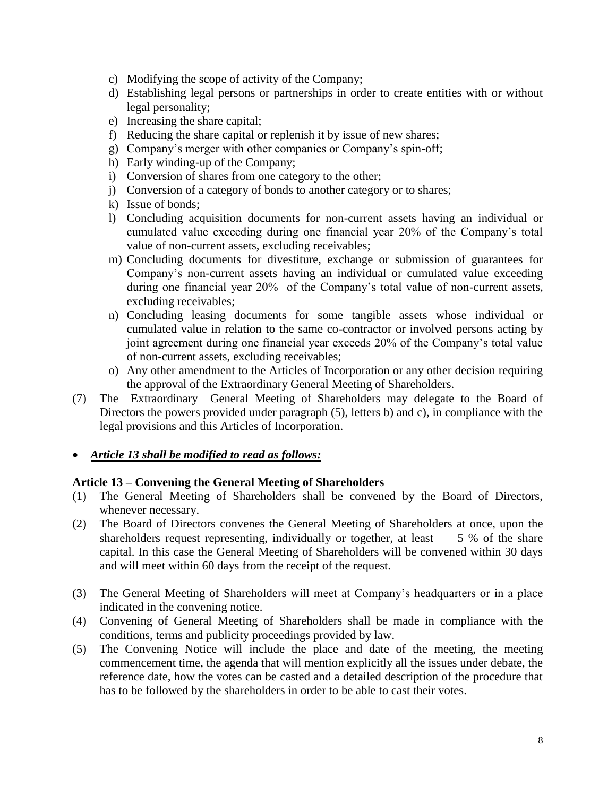- c) Modifying the scope of activity of the Company;
- d) Establishing legal persons or partnerships in order to create entities with or without legal personality;
- e) Increasing the share capital;
- f) Reducing the share capital or replenish it by issue of new shares;
- g) Company's merger with other companies or Company's spin-off;
- h) Early winding-up of the Company;
- i) Conversion of shares from one category to the other;
- j) Conversion of a category of bonds to another category or to shares;
- k) Issue of bonds;
- l) Concluding acquisition documents for non-current assets having an individual or cumulated value exceeding during one financial year 20% of the Company's total value of non-current assets, excluding receivables;
- m) Concluding documents for divestiture, exchange or submission of guarantees for Company's non-current assets having an individual or cumulated value exceeding during one financial year 20% of the Company's total value of non-current assets, excluding receivables;
- n) Concluding leasing documents for some tangible assets whose individual or cumulated value in relation to the same co-contractor or involved persons acting by joint agreement during one financial year exceeds 20% of the Company's total value of non-current assets, excluding receivables;
- o) Any other amendment to the Articles of Incorporation or any other decision requiring the approval of the Extraordinary General Meeting of Shareholders.
- (7) The Extraordinary General Meeting of Shareholders may delegate to the Board of Directors the powers provided under paragraph (5), letters b) and c), in compliance with the legal provisions and this Articles of Incorporation.

## *Article 13 shall be modified to read as follows:*

#### **Article 13 – Convening the General Meeting of Shareholders**

- (1) The General Meeting of Shareholders shall be convened by the Board of Directors, whenever necessary.
- (2) The Board of Directors convenes the General Meeting of Shareholders at once, upon the shareholders request representing, individually or together, at least 5 % of the share capital. In this case the General Meeting of Shareholders will be convened within 30 days and will meet within 60 days from the receipt of the request.
- (3) The General Meeting of Shareholders will meet at Company's headquarters or in a place indicated in the convening notice.
- (4) Convening of General Meeting of Shareholders shall be made in compliance with the conditions, terms and publicity proceedings provided by law.
- (5) The Convening Notice will include the place and date of the meeting, the meeting commencement time, the agenda that will mention explicitly all the issues under debate, the reference date, how the votes can be casted and a detailed description of the procedure that has to be followed by the shareholders in order to be able to cast their votes.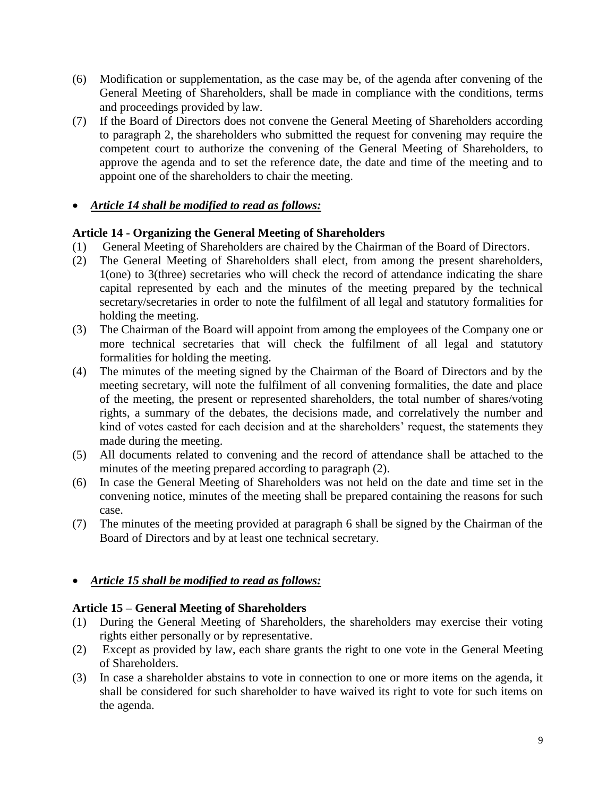- (6) Modification or supplementation, as the case may be, of the agenda after convening of the General Meeting of Shareholders, shall be made in compliance with the conditions, terms and proceedings provided by law.
- (7) If the Board of Directors does not convene the General Meeting of Shareholders according to paragraph 2, the shareholders who submitted the request for convening may require the competent court to authorize the convening of the General Meeting of Shareholders, to approve the agenda and to set the reference date, the date and time of the meeting and to appoint one of the shareholders to chair the meeting.

## *Article 14 shall be modified to read as follows:*

## **Article 14 - Organizing the General Meeting of Shareholders**

- (1) General Meeting of Shareholders are chaired by the Chairman of the Board of Directors.
- (2) The General Meeting of Shareholders shall elect, from among the present shareholders, 1(one) to 3(three) secretaries who will check the record of attendance indicating the share capital represented by each and the minutes of the meeting prepared by the technical secretary/secretaries in order to note the fulfilment of all legal and statutory formalities for holding the meeting.
- (3) The Chairman of the Board will appoint from among the employees of the Company one or more technical secretaries that will check the fulfilment of all legal and statutory formalities for holding the meeting.
- (4) The minutes of the meeting signed by the Chairman of the Board of Directors and by the meeting secretary, will note the fulfilment of all convening formalities, the date and place of the meeting, the present or represented shareholders, the total number of shares/voting rights, a summary of the debates, the decisions made, and correlatively the number and kind of votes casted for each decision and at the shareholders' request, the statements they made during the meeting.
- (5) All documents related to convening and the record of attendance shall be attached to the minutes of the meeting prepared according to paragraph (2).
- (6) In case the General Meeting of Shareholders was not held on the date and time set in the convening notice, minutes of the meeting shall be prepared containing the reasons for such case.
- (7) The minutes of the meeting provided at paragraph 6 shall be signed by the Chairman of the Board of Directors and by at least one technical secretary.

## *Article 15 shall be modified to read as follows:*

## **Article 15 – General Meeting of Shareholders**

- (1) During the General Meeting of Shareholders, the shareholders may exercise their voting rights either personally or by representative.
- (2) Except as provided by law, each share grants the right to one vote in the General Meeting of Shareholders.
- (3) In case a shareholder abstains to vote in connection to one or more items on the agenda, it shall be considered for such shareholder to have waived its right to vote for such items on the agenda.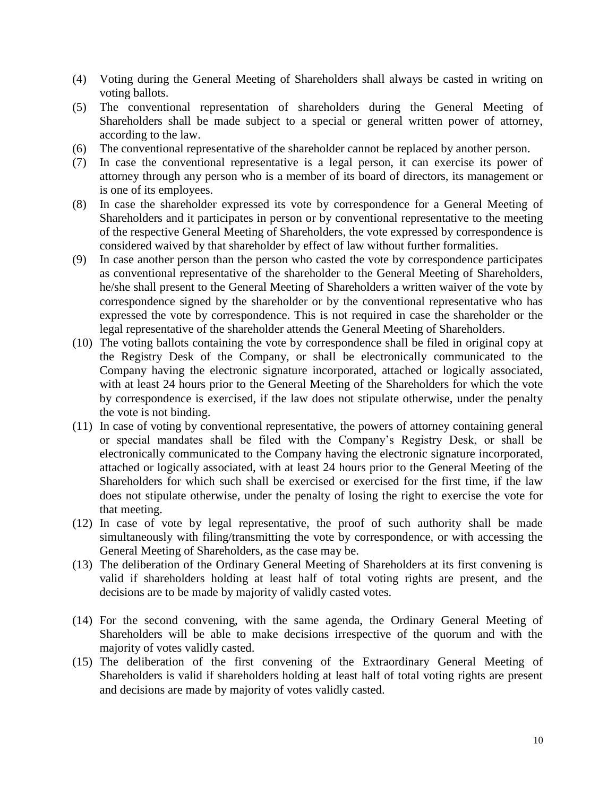- (4) Voting during the General Meeting of Shareholders shall always be casted in writing on voting ballots.
- (5) The conventional representation of shareholders during the General Meeting of Shareholders shall be made subject to a special or general written power of attorney, according to the law.
- (6) The conventional representative of the shareholder cannot be replaced by another person.
- (7) In case the conventional representative is a legal person, it can exercise its power of attorney through any person who is a member of its board of directors, its management or is one of its employees.
- (8) In case the shareholder expressed its vote by correspondence for a General Meeting of Shareholders and it participates in person or by conventional representative to the meeting of the respective General Meeting of Shareholders, the vote expressed by correspondence is considered waived by that shareholder by effect of law without further formalities.
- (9) In case another person than the person who casted the vote by correspondence participates as conventional representative of the shareholder to the General Meeting of Shareholders, he/she shall present to the General Meeting of Shareholders a written waiver of the vote by correspondence signed by the shareholder or by the conventional representative who has expressed the vote by correspondence. This is not required in case the shareholder or the legal representative of the shareholder attends the General Meeting of Shareholders.
- (10) The voting ballots containing the vote by correspondence shall be filed in original copy at the Registry Desk of the Company, or shall be electronically communicated to the Company having the electronic signature incorporated, attached or logically associated, with at least 24 hours prior to the General Meeting of the Shareholders for which the vote by correspondence is exercised, if the law does not stipulate otherwise, under the penalty the vote is not binding.
- (11) In case of voting by conventional representative, the powers of attorney containing general or special mandates shall be filed with the Company's Registry Desk, or shall be electronically communicated to the Company having the electronic signature incorporated, attached or logically associated, with at least 24 hours prior to the General Meeting of the Shareholders for which such shall be exercised or exercised for the first time, if the law does not stipulate otherwise, under the penalty of losing the right to exercise the vote for that meeting.
- (12) In case of vote by legal representative, the proof of such authority shall be made simultaneously with filing/transmitting the vote by correspondence, or with accessing the General Meeting of Shareholders, as the case may be.
- (13) The deliberation of the Ordinary General Meeting of Shareholders at its first convening is valid if shareholders holding at least half of total voting rights are present, and the decisions are to be made by majority of validly casted votes.
- (14) For the second convening, with the same agenda, the Ordinary General Meeting of Shareholders will be able to make decisions irrespective of the quorum and with the majority of votes validly casted.
- (15) The deliberation of the first convening of the Extraordinary General Meeting of Shareholders is valid if shareholders holding at least half of total voting rights are present and decisions are made by majority of votes validly casted.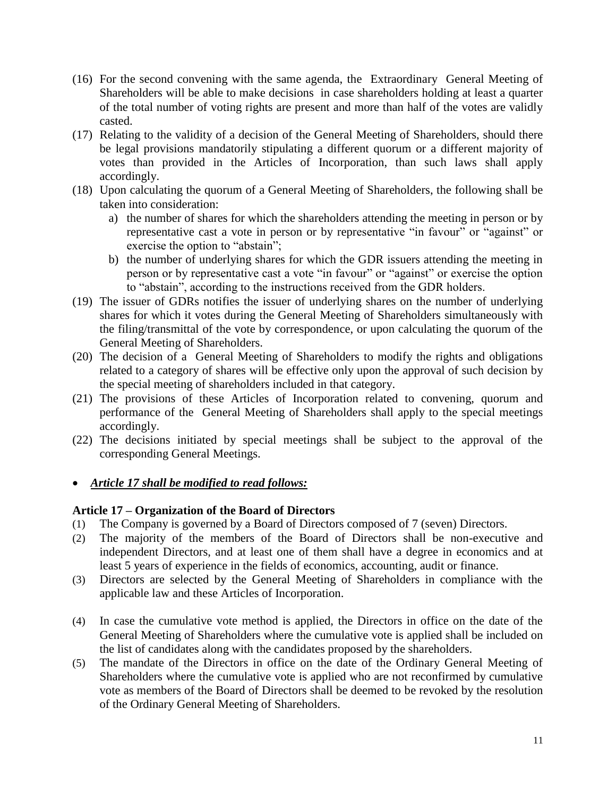- (16) For the second convening with the same agenda, the Extraordinary General Meeting of Shareholders will be able to make decisions in case shareholders holding at least a quarter of the total number of voting rights are present and more than half of the votes are validly casted.
- (17) Relating to the validity of a decision of the General Meeting of Shareholders, should there be legal provisions mandatorily stipulating a different quorum or a different majority of votes than provided in the Articles of Incorporation, than such laws shall apply accordingly.
- (18) Upon calculating the quorum of a General Meeting of Shareholders, the following shall be taken into consideration:
	- a) the number of shares for which the shareholders attending the meeting in person or by representative cast a vote in person or by representative "in favour" or "against" or exercise the option to "abstain";
	- b) the number of underlying shares for which the GDR issuers attending the meeting in person or by representative cast a vote "in favour" or "against" or exercise the option to "abstain", according to the instructions received from the GDR holders.
- (19) The issuer of GDRs notifies the issuer of underlying shares on the number of underlying shares for which it votes during the General Meeting of Shareholders simultaneously with the filing/transmittal of the vote by correspondence, or upon calculating the quorum of the General Meeting of Shareholders.
- (20) The decision of a General Meeting of Shareholders to modify the rights and obligations related to a category of shares will be effective only upon the approval of such decision by the special meeting of shareholders included in that category.
- (21) The provisions of these Articles of Incorporation related to convening, quorum and performance of the General Meeting of Shareholders shall apply to the special meetings accordingly.
- (22) The decisions initiated by special meetings shall be subject to the approval of the corresponding General Meetings.
- *Article 17 shall be modified to read follows:*

## **Article 17 – Organization of the Board of Directors**

- (1) The Company is governed by a Board of Directors composed of 7 (seven) Directors.
- (2) The majority of the members of the Board of Directors shall be non-executive and independent Directors, and at least one of them shall have a degree in economics and at least 5 years of experience in the fields of economics, accounting, audit or finance.
- (3) Directors are selected by the General Meeting of Shareholders in compliance with the applicable law and these Articles of Incorporation.
- (4) In case the cumulative vote method is applied, the Directors in office on the date of the General Meeting of Shareholders where the cumulative vote is applied shall be included on the list of candidates along with the candidates proposed by the shareholders.
- (5) The mandate of the Directors in office on the date of the Ordinary General Meeting of Shareholders where the cumulative vote is applied who are not reconfirmed by cumulative vote as members of the Board of Directors shall be deemed to be revoked by the resolution of the Ordinary General Meeting of Shareholders.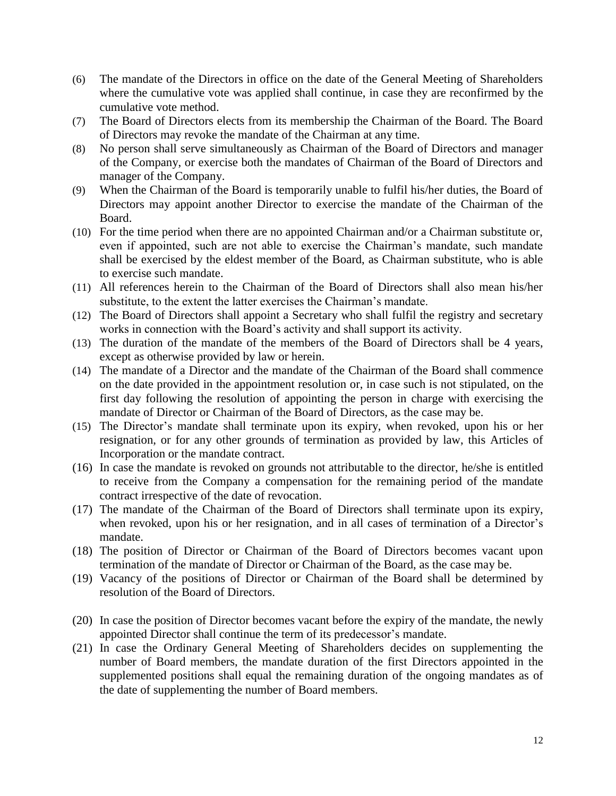- (6) The mandate of the Directors in office on the date of the General Meeting of Shareholders where the cumulative vote was applied shall continue, in case they are reconfirmed by the cumulative vote method.
- (7) The Board of Directors elects from its membership the Chairman of the Board. The Board of Directors may revoke the mandate of the Chairman at any time.
- (8) No person shall serve simultaneously as Chairman of the Board of Directors and manager of the Company, or exercise both the mandates of Chairman of the Board of Directors and manager of the Company.
- (9) When the Chairman of the Board is temporarily unable to fulfil his/her duties, the Board of Directors may appoint another Director to exercise the mandate of the Chairman of the Board.
- (10) For the time period when there are no appointed Chairman and/or a Chairman substitute or, even if appointed, such are not able to exercise the Chairman's mandate, such mandate shall be exercised by the eldest member of the Board, as Chairman substitute, who is able to exercise such mandate.
- (11) All references herein to the Chairman of the Board of Directors shall also mean his/her substitute, to the extent the latter exercises the Chairman's mandate.
- (12) The Board of Directors shall appoint a Secretary who shall fulfil the registry and secretary works in connection with the Board's activity and shall support its activity.
- (13) The duration of the mandate of the members of the Board of Directors shall be 4 years, except as otherwise provided by law or herein.
- (14) The mandate of a Director and the mandate of the Chairman of the Board shall commence on the date provided in the appointment resolution or, in case such is not stipulated, on the first day following the resolution of appointing the person in charge with exercising the mandate of Director or Chairman of the Board of Directors, as the case may be.
- (15) The Director's mandate shall terminate upon its expiry, when revoked, upon his or her resignation, or for any other grounds of termination as provided by law, this Articles of Incorporation or the mandate contract.
- (16) In case the mandate is revoked on grounds not attributable to the director, he/she is entitled to receive from the Company a compensation for the remaining period of the mandate contract irrespective of the date of revocation.
- (17) The mandate of the Chairman of the Board of Directors shall terminate upon its expiry, when revoked, upon his or her resignation, and in all cases of termination of a Director's mandate.
- (18) The position of Director or Chairman of the Board of Directors becomes vacant upon termination of the mandate of Director or Chairman of the Board, as the case may be.
- (19) Vacancy of the positions of Director or Chairman of the Board shall be determined by resolution of the Board of Directors.
- (20) In case the position of Director becomes vacant before the expiry of the mandate, the newly appointed Director shall continue the term of its predecessor's mandate.
- (21) In case the Ordinary General Meeting of Shareholders decides on supplementing the number of Board members, the mandate duration of the first Directors appointed in the supplemented positions shall equal the remaining duration of the ongoing mandates as of the date of supplementing the number of Board members.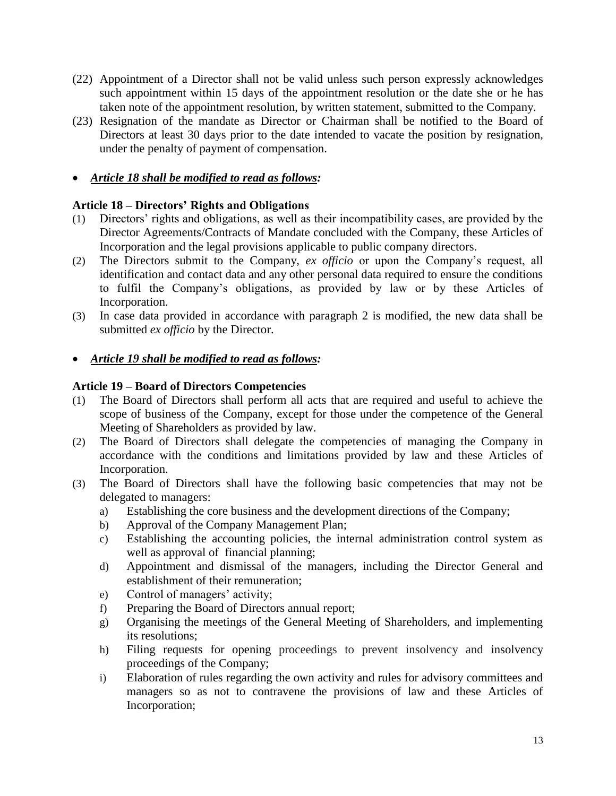- (22) Appointment of a Director shall not be valid unless such person expressly acknowledges such appointment within 15 days of the appointment resolution or the date she or he has taken note of the appointment resolution, by written statement, submitted to the Company.
- (23) Resignation of the mandate as Director or Chairman shall be notified to the Board of Directors at least 30 days prior to the date intended to vacate the position by resignation, under the penalty of payment of compensation.

## *Article 18 shall be modified to read as follows:*

## **Article 18 – Directors' Rights and Obligations**

- (1) Directors' rights and obligations, as well as their incompatibility cases, are provided by the Director Agreements/Contracts of Mandate concluded with the Company, these Articles of Incorporation and the legal provisions applicable to public company directors.
- (2) The Directors submit to the Company, *ex officio* or upon the Company's request, all identification and contact data and any other personal data required to ensure the conditions to fulfil the Company's obligations, as provided by law or by these Articles of Incorporation.
- (3) In case data provided in accordance with paragraph 2 is modified, the new data shall be submitted *ex officio* by the Director.
- *Article 19 shall be modified to read as follows:*

## **Article 19 – Board of Directors Competencies**

- (1) The Board of Directors shall perform all acts that are required and useful to achieve the scope of business of the Company, except for those under the competence of the General Meeting of Shareholders as provided by law.
- (2) The Board of Directors shall delegate the competencies of managing the Company in accordance with the conditions and limitations provided by law and these Articles of Incorporation.
- (3) The Board of Directors shall have the following basic competencies that may not be delegated to managers:
	- a) Establishing the core business and the development directions of the Company;
	- b) Approval of the Company Management Plan;
	- c) Establishing the accounting policies, the internal administration control system as well as approval of financial planning;
	- d) Appointment and dismissal of the managers, including the Director General and establishment of their remuneration;
	- e) Control of managers' activity;
	- f) Preparing the Board of Directors annual report;
	- g) Organising the meetings of the General Meeting of Shareholders, and implementing its resolutions;
	- h) Filing requests for opening proceedings to prevent insolvency and insolvency proceedings of the Company;
	- i) Elaboration of rules regarding the own activity and rules for advisory committees and managers so as not to contravene the provisions of law and these Articles of Incorporation;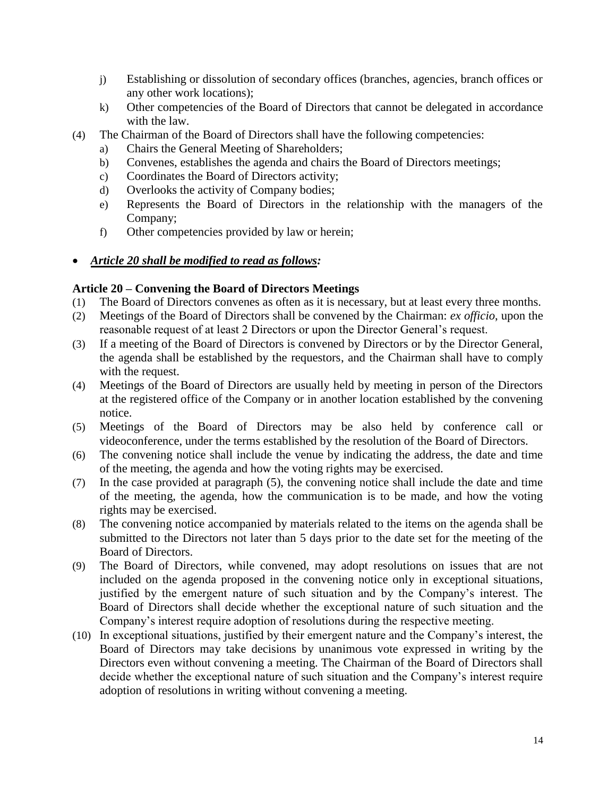- j) Establishing or dissolution of secondary offices (branches, agencies, branch offices or any other work locations);
- k) Other competencies of the Board of Directors that cannot be delegated in accordance with the law.
- (4) The Chairman of the Board of Directors shall have the following competencies:
	- a) Chairs the General Meeting of Shareholders;
	- b) Convenes, establishes the agenda and chairs the Board of Directors meetings;
	- c) Coordinates the Board of Directors activity;
	- d) Overlooks the activity of Company bodies;
	- e) Represents the Board of Directors in the relationship with the managers of the Company;
	- f) Other competencies provided by law or herein;
- *Article 20 shall be modified to read as follows:*

#### **Article 20 – Convening the Board of Directors Meetings**

- (1) The Board of Directors convenes as often as it is necessary, but at least every three months.
- (2) Meetings of the Board of Directors shall be convened by the Chairman: *ex officio*, upon the reasonable request of at least 2 Directors or upon the Director General's request.
- (3) If a meeting of the Board of Directors is convened by Directors or by the Director General, the agenda shall be established by the requestors, and the Chairman shall have to comply with the request.
- (4) Meetings of the Board of Directors are usually held by meeting in person of the Directors at the registered office of the Company or in another location established by the convening notice.
- (5) Meetings of the Board of Directors may be also held by conference call or videoconference, under the terms established by the resolution of the Board of Directors.
- (6) The convening notice shall include the venue by indicating the address, the date and time of the meeting, the agenda and how the voting rights may be exercised.
- (7) In the case provided at paragraph (5), the convening notice shall include the date and time of the meeting, the agenda, how the communication is to be made, and how the voting rights may be exercised.
- (8) The convening notice accompanied by materials related to the items on the agenda shall be submitted to the Directors not later than 5 days prior to the date set for the meeting of the Board of Directors.
- (9) The Board of Directors, while convened, may adopt resolutions on issues that are not included on the agenda proposed in the convening notice only in exceptional situations, justified by the emergent nature of such situation and by the Company's interest. The Board of Directors shall decide whether the exceptional nature of such situation and the Company's interest require adoption of resolutions during the respective meeting.
- (10) In exceptional situations, justified by their emergent nature and the Company's interest, the Board of Directors may take decisions by unanimous vote expressed in writing by the Directors even without convening a meeting. The Chairman of the Board of Directors shall decide whether the exceptional nature of such situation and the Company's interest require adoption of resolutions in writing without convening a meeting.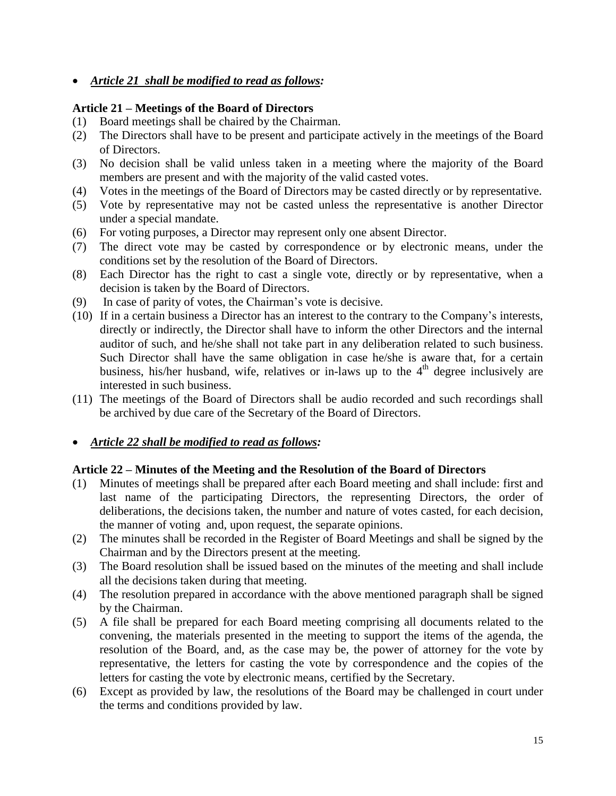*Article 21 shall be modified to read as follows:*

## **Article 21 – Meetings of the Board of Directors**

- (1) Board meetings shall be chaired by the Chairman.
- (2) The Directors shall have to be present and participate actively in the meetings of the Board of Directors.
- (3) No decision shall be valid unless taken in a meeting where the majority of the Board members are present and with the majority of the valid casted votes.
- (4) Votes in the meetings of the Board of Directors may be casted directly or by representative.
- (5) Vote by representative may not be casted unless the representative is another Director under a special mandate.
- (6) For voting purposes, a Director may represent only one absent Director.
- (7) The direct vote may be casted by correspondence or by electronic means, under the conditions set by the resolution of the Board of Directors.
- (8) Each Director has the right to cast a single vote, directly or by representative, when a decision is taken by the Board of Directors.
- (9) In case of parity of votes, the Chairman's vote is decisive.
- (10) If in a certain business a Director has an interest to the contrary to the Company's interests, directly or indirectly, the Director shall have to inform the other Directors and the internal auditor of such, and he/she shall not take part in any deliberation related to such business. Such Director shall have the same obligation in case he/she is aware that, for a certain business, his/her husband, wife, relatives or in-laws up to the  $4<sup>th</sup>$  degree inclusively are interested in such business.
- (11) The meetings of the Board of Directors shall be audio recorded and such recordings shall be archived by due care of the Secretary of the Board of Directors.

#### *Article 22 shall be modified to read as follows:*

#### **Article 22 – Minutes of the Meeting and the Resolution of the Board of Directors**

- (1) Minutes of meetings shall be prepared after each Board meeting and shall include: first and last name of the participating Directors, the representing Directors, the order of deliberations, the decisions taken, the number and nature of votes casted, for each decision, the manner of voting and, upon request, the separate opinions.
- (2) The minutes shall be recorded in the Register of Board Meetings and shall be signed by the Chairman and by the Directors present at the meeting.
- (3) The Board resolution shall be issued based on the minutes of the meeting and shall include all the decisions taken during that meeting.
- (4) The resolution prepared in accordance with the above mentioned paragraph shall be signed by the Chairman.
- (5) A file shall be prepared for each Board meeting comprising all documents related to the convening, the materials presented in the meeting to support the items of the agenda, the resolution of the Board, and, as the case may be, the power of attorney for the vote by representative, the letters for casting the vote by correspondence and the copies of the letters for casting the vote by electronic means, certified by the Secretary.
- (6) Except as provided by law, the resolutions of the Board may be challenged in court under the terms and conditions provided by law.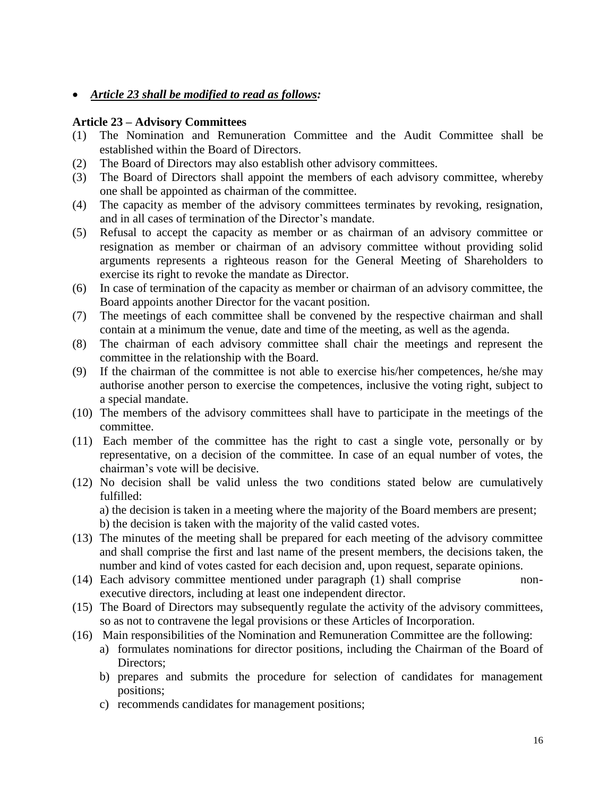*Article 23 shall be modified to read as follows:*

#### **Article 23 – Advisory Committees**

- (1) The Nomination and Remuneration Committee and the Audit Committee shall be established within the Board of Directors.
- (2) The Board of Directors may also establish other advisory committees.
- (3) The Board of Directors shall appoint the members of each advisory committee, whereby one shall be appointed as chairman of the committee.
- (4) The capacity as member of the advisory committees terminates by revoking, resignation, and in all cases of termination of the Director's mandate.
- (5) Refusal to accept the capacity as member or as chairman of an advisory committee or resignation as member or chairman of an advisory committee without providing solid arguments represents a righteous reason for the General Meeting of Shareholders to exercise its right to revoke the mandate as Director.
- (6) In case of termination of the capacity as member or chairman of an advisory committee, the Board appoints another Director for the vacant position.
- (7) The meetings of each committee shall be convened by the respective chairman and shall contain at a minimum the venue, date and time of the meeting, as well as the agenda.
- (8) The chairman of each advisory committee shall chair the meetings and represent the committee in the relationship with the Board.
- (9) If the chairman of the committee is not able to exercise his/her competences, he/she may authorise another person to exercise the competences, inclusive the voting right, subject to a special mandate.
- (10) The members of the advisory committees shall have to participate in the meetings of the committee.
- (11) Each member of the committee has the right to cast a single vote, personally or by representative, on a decision of the committee. In case of an equal number of votes, the chairman's vote will be decisive.
- (12) No decision shall be valid unless the two conditions stated below are cumulatively fulfilled:

a) the decision is taken in a meeting where the majority of the Board members are present;

b) the decision is taken with the majority of the valid casted votes.

- (13) The minutes of the meeting shall be prepared for each meeting of the advisory committee and shall comprise the first and last name of the present members, the decisions taken, the number and kind of votes casted for each decision and, upon request, separate opinions.
- (14) Each advisory committee mentioned under paragraph (1) shall comprise nonexecutive directors, including at least one independent director.
- (15) The Board of Directors may subsequently regulate the activity of the advisory committees, so as not to contravene the legal provisions or these Articles of Incorporation.
- (16) Main responsibilities of the Nomination and Remuneration Committee are the following:
	- a) formulates nominations for director positions, including the Chairman of the Board of Directors:
	- b) prepares and submits the procedure for selection of candidates for management positions;
	- c) recommends candidates for management positions;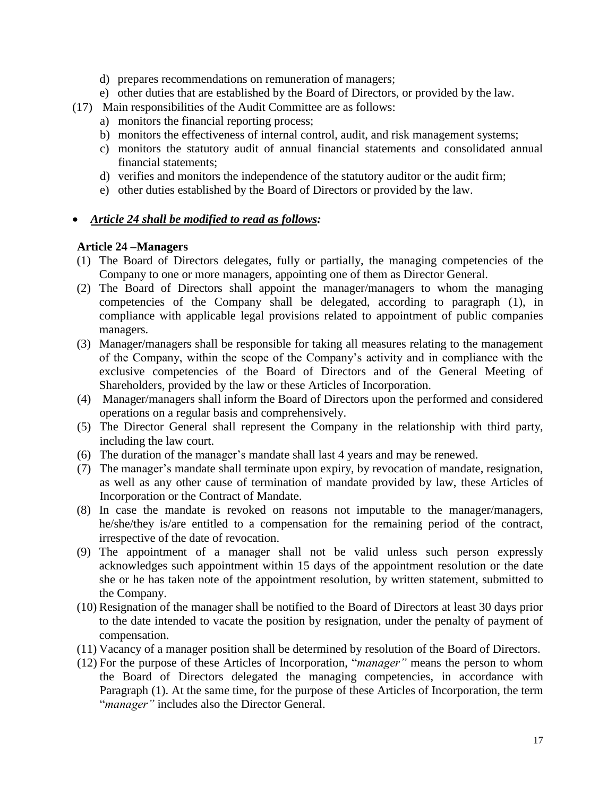- d) prepares recommendations on remuneration of managers;
- e) other duties that are established by the Board of Directors, or provided by the law.
- (17) Main responsibilities of the Audit Committee are as follows:
	- a) monitors the financial reporting process;
	- b) monitors the effectiveness of internal control, audit, and risk management systems;
	- c) monitors the statutory audit of annual financial statements and consolidated annual financial statements;
	- d) verifies and monitors the independence of the statutory auditor or the audit firm;
	- e) other duties established by the Board of Directors or provided by the law.

## *Article 24 shall be modified to read as follows:*

## **Article 24 –Managers**

- (1) The Board of Directors delegates, fully or partially, the managing competencies of the Company to one or more managers, appointing one of them as Director General.
- (2) The Board of Directors shall appoint the manager/managers to whom the managing competencies of the Company shall be delegated, according to paragraph (1), in compliance with applicable legal provisions related to appointment of public companies managers.
- (3) Manager/managers shall be responsible for taking all measures relating to the management of the Company, within the scope of the Company's activity and in compliance with the exclusive competencies of the Board of Directors and of the General Meeting of Shareholders, provided by the law or these Articles of Incorporation.
- (4) Manager/managers shall inform the Board of Directors upon the performed and considered operations on a regular basis and comprehensively.
- (5) The Director General shall represent the Company in the relationship with third party, including the law court.
- (6) The duration of the manager's mandate shall last 4 years and may be renewed.
- (7) The manager's mandate shall terminate upon expiry, by revocation of mandate, resignation, as well as any other cause of termination of mandate provided by law, these Articles of Incorporation or the Contract of Mandate.
- (8) In case the mandate is revoked on reasons not imputable to the manager/managers, he/she/they is/are entitled to a compensation for the remaining period of the contract, irrespective of the date of revocation.
- (9) The appointment of a manager shall not be valid unless such person expressly acknowledges such appointment within 15 days of the appointment resolution or the date she or he has taken note of the appointment resolution, by written statement, submitted to the Company.
- (10) Resignation of the manager shall be notified to the Board of Directors at least 30 days prior to the date intended to vacate the position by resignation, under the penalty of payment of compensation.
- (11) Vacancy of a manager position shall be determined by resolution of the Board of Directors.
- (12) For the purpose of these Articles of Incorporation, "*manager"* means the person to whom the Board of Directors delegated the managing competencies, in accordance with Paragraph (1). At the same time, for the purpose of these Articles of Incorporation, the term "*manager"* includes also the Director General.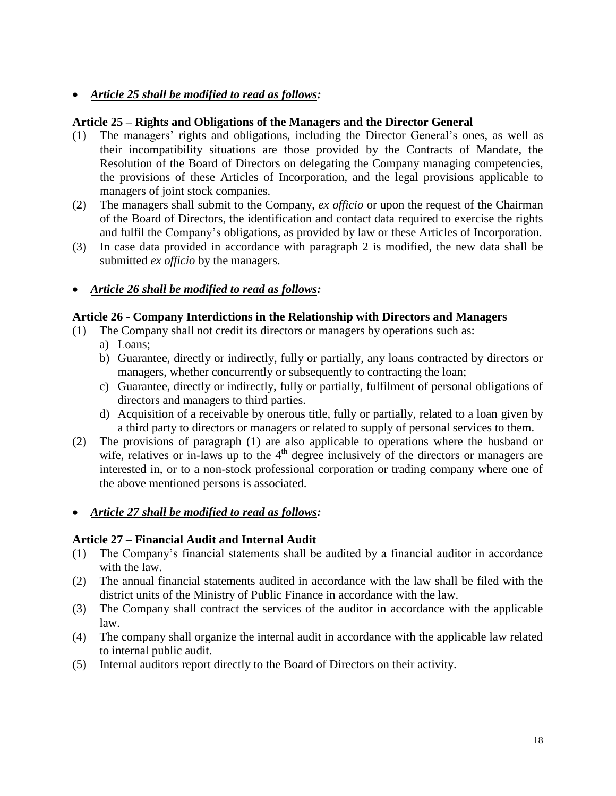## *Article 25 shall be modified to read as follows:*

#### **Article 25 – Rights and Obligations of the Managers and the Director General**

- (1) The managers' rights and obligations, including the Director General's ones, as well as their incompatibility situations are those provided by the Contracts of Mandate, the Resolution of the Board of Directors on delegating the Company managing competencies, the provisions of these Articles of Incorporation, and the legal provisions applicable to managers of joint stock companies.
- (2) The managers shall submit to the Company, *ex officio* or upon the request of the Chairman of the Board of Directors, the identification and contact data required to exercise the rights and fulfil the Company's obligations, as provided by law or these Articles of Incorporation.
- (3) In case data provided in accordance with paragraph 2 is modified, the new data shall be submitted *ex officio* by the managers.

## *Article 26 shall be modified to read as follows:*

#### **Article 26 - Company Interdictions in the Relationship with Directors and Managers**

- (1) The Company shall not credit its directors or managers by operations such as:
	- a) Loans;
	- b) Guarantee, directly or indirectly, fully or partially, any loans contracted by directors or managers, whether concurrently or subsequently to contracting the loan;
	- c) Guarantee, directly or indirectly, fully or partially, fulfilment of personal obligations of directors and managers to third parties.
	- d) Acquisition of a receivable by onerous title, fully or partially, related to a loan given by a third party to directors or managers or related to supply of personal services to them.
- (2) The provisions of paragraph (1) are also applicable to operations where the husband or wife, relatives or in-laws up to the  $4<sup>th</sup>$  degree inclusively of the directors or managers are interested in, or to a non-stock professional corporation or trading company where one of the above mentioned persons is associated.

#### *Article 27 shall be modified to read as follows:*

#### **Article 27 – Financial Audit and Internal Audit**

- (1) The Company's financial statements shall be audited by a financial auditor in accordance with the law.
- (2) The annual financial statements audited in accordance with the law shall be filed with the district units of the Ministry of Public Finance in accordance with the law.
- (3) The Company shall contract the services of the auditor in accordance with the applicable law.
- (4) The company shall organize the internal audit in accordance with the applicable law related to internal public audit.
- (5) Internal auditors report directly to the Board of Directors on their activity.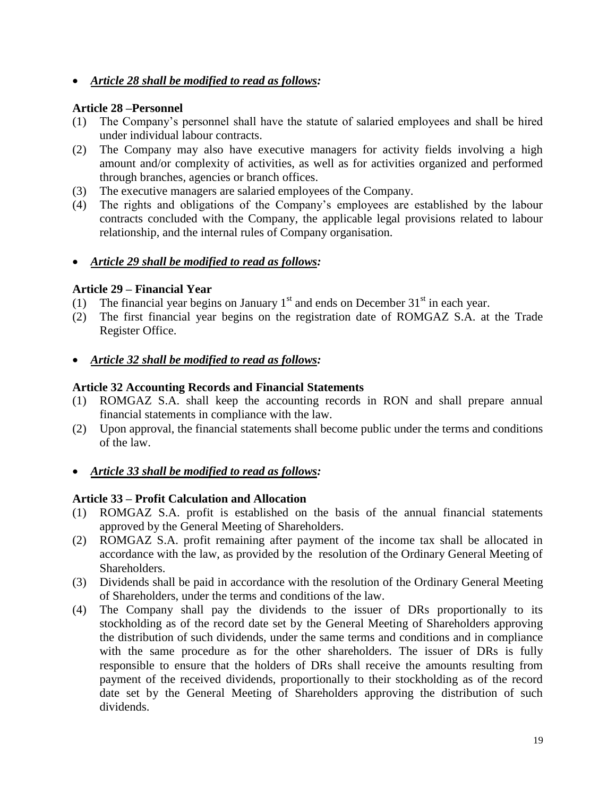*Article 28 shall be modified to read as follows:*

## **Article 28 –Personnel**

- (1) The Company's personnel shall have the statute of salaried employees and shall be hired under individual labour contracts.
- (2) The Company may also have executive managers for activity fields involving a high amount and/or complexity of activities, as well as for activities organized and performed through branches, agencies or branch offices.
- (3) The executive managers are salaried employees of the Company.
- (4) The rights and obligations of the Company's employees are established by the labour contracts concluded with the Company, the applicable legal provisions related to labour relationship, and the internal rules of Company organisation.

## *Article 29 shall be modified to read as follows:*

## **Article 29 – Financial Year**

- (1) The financial year begins on January  $1<sup>st</sup>$  and ends on December  $31<sup>st</sup>$  in each year.
- (2) The first financial year begins on the registration date of ROMGAZ S.A. at the Trade Register Office.
- *Article 32 shall be modified to read as follows:*

## **Article 32 Accounting Records and Financial Statements**

- (1) ROMGAZ S.A. shall keep the accounting records in RON and shall prepare annual financial statements in compliance with the law.
- (2) Upon approval, the financial statements shall become public under the terms and conditions of the law.
- *Article 33 shall be modified to read as follows:*

## **Article 33 – Profit Calculation and Allocation**

- (1) ROMGAZ S.A. profit is established on the basis of the annual financial statements approved by the General Meeting of Shareholders.
- (2) ROMGAZ S.A. profit remaining after payment of the income tax shall be allocated in accordance with the law, as provided by the resolution of the Ordinary General Meeting of Shareholders.
- (3) Dividends shall be paid in accordance with the resolution of the Ordinary General Meeting of Shareholders, under the terms and conditions of the law.
- (4) The Company shall pay the dividends to the issuer of DRs proportionally to its stockholding as of the record date set by the General Meeting of Shareholders approving the distribution of such dividends, under the same terms and conditions and in compliance with the same procedure as for the other shareholders. The issuer of DRs is fully responsible to ensure that the holders of DRs shall receive the amounts resulting from payment of the received dividends, proportionally to their stockholding as of the record date set by the General Meeting of Shareholders approving the distribution of such dividends.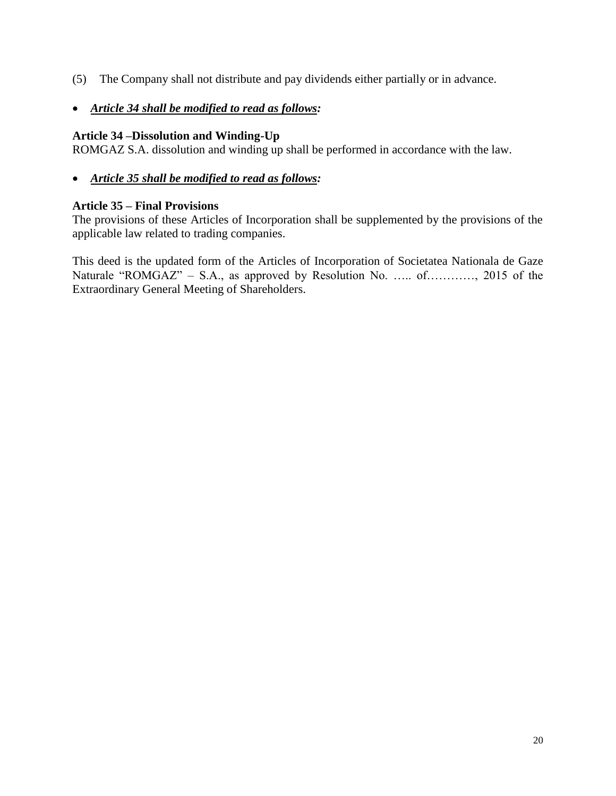- (5) The Company shall not distribute and pay dividends either partially or in advance.
- *Article 34 shall be modified to read as follows:*

## **Article 34 –Dissolution and Winding-Up**

ROMGAZ S.A. dissolution and winding up shall be performed in accordance with the law.

*Article 35 shall be modified to read as follows:*

## **Article 35 – Final Provisions**

The provisions of these Articles of Incorporation shall be supplemented by the provisions of the applicable law related to trading companies.

This deed is the updated form of the Articles of Incorporation of Societatea Nationala de Gaze Naturale "ROMGAZ" – S.A., as approved by Resolution No. ….. of…………, 2015 of the Extraordinary General Meeting of Shareholders.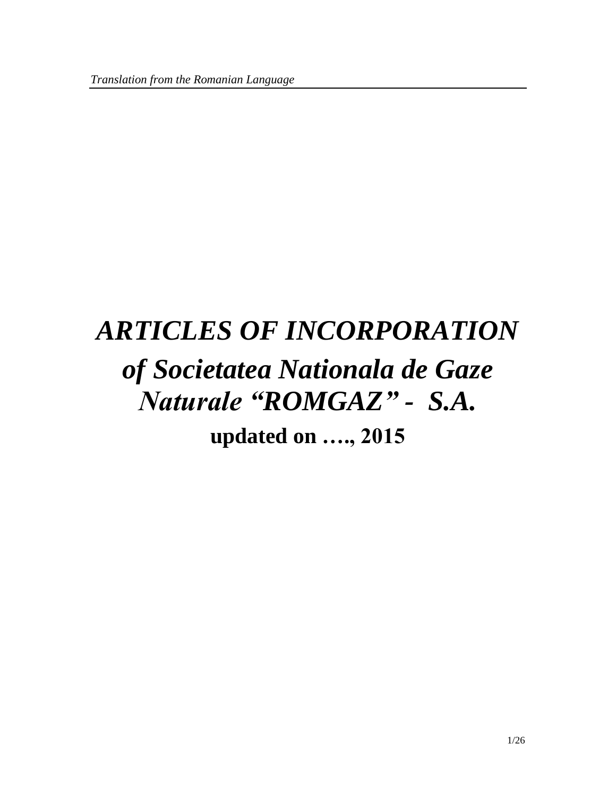# *ARTICLES OF INCORPORATION of Societatea Nationala de Gaze Naturale "ROMGAZ" - S.A.* **updated on …., 2015**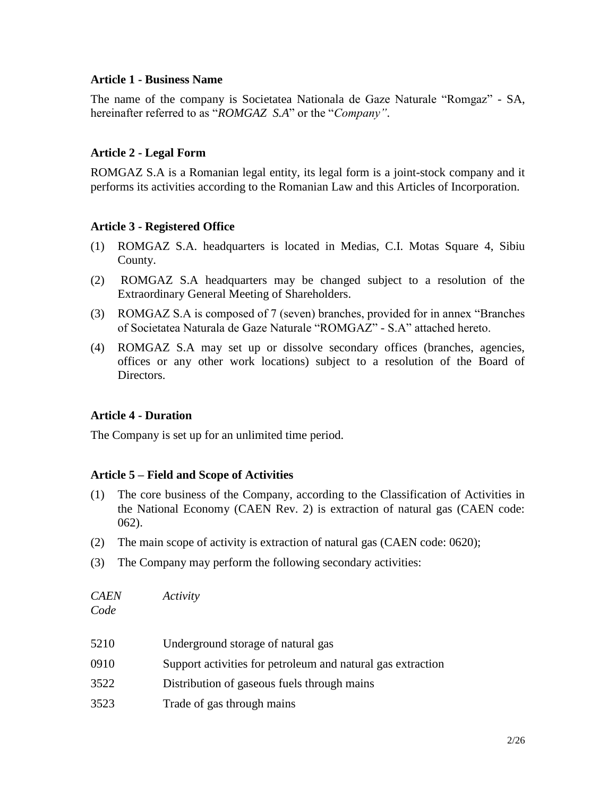#### **Article 1 - Business Name**

The name of the company is Societatea Nationala de Gaze Naturale "Romgaz" - SA, hereinafter referred to as "*ROMGAZ S.A*" or the "*Company"*.

## **Article 2 - Legal Form**

ROMGAZ S.A is a Romanian legal entity, its legal form is a joint-stock company and it performs its activities according to the Romanian Law and this Articles of Incorporation.

## **Article 3 - Registered Office**

- (1) ROMGAZ S.A. headquarters is located in Medias, C.I. Motas Square 4, Sibiu County.
- (2) ROMGAZ S.A headquarters may be changed subject to a resolution of the Extraordinary General Meeting of Shareholders.
- (3) ROMGAZ S.A is composed of 7 (seven) branches, provided for in annex "Branches of Societatea Naturala de Gaze Naturale "ROMGAZ" - S.A" attached hereto.
- (4) ROMGAZ S.A may set up or dissolve secondary offices (branches, agencies, offices or any other work locations) subject to a resolution of the Board of Directors.

#### **Article 4 - Duration**

The Company is set up for an unlimited time period.

## **Article 5 – Field and Scope of Activities**

- (1) The core business of the Company, according to the Classification of Activities in the National Economy (CAEN Rev. 2) is extraction of natural gas (CAEN code: 062).
- (2) The main scope of activity is extraction of natural gas (CAEN code: 0620);
- (3) The Company may perform the following secondary activities:

*CAEN Activity Code*

| 5210 | Underground storage of natural gas                          |
|------|-------------------------------------------------------------|
| 0910 | Support activities for petroleum and natural gas extraction |
| 3522 | Distribution of gaseous fuels through mains                 |
| 3523 | Trade of gas through mains                                  |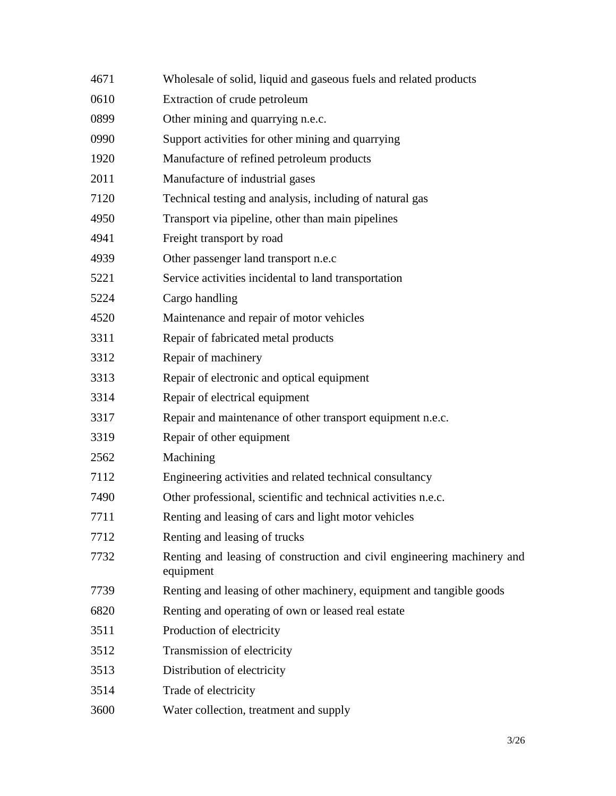| 4671 | Wholesale of solid, liquid and gaseous fuels and related products                    |
|------|--------------------------------------------------------------------------------------|
| 0610 | Extraction of crude petroleum                                                        |
| 0899 | Other mining and quarrying n.e.c.                                                    |
| 0990 | Support activities for other mining and quarrying                                    |
| 1920 | Manufacture of refined petroleum products                                            |
| 2011 | Manufacture of industrial gases                                                      |
| 7120 | Technical testing and analysis, including of natural gas                             |
| 4950 | Transport via pipeline, other than main pipelines                                    |
| 4941 | Freight transport by road                                                            |
| 4939 | Other passenger land transport n.e.c                                                 |
| 5221 | Service activities incidental to land transportation                                 |
| 5224 | Cargo handling                                                                       |
| 4520 | Maintenance and repair of motor vehicles                                             |
| 3311 | Repair of fabricated metal products                                                  |
| 3312 | Repair of machinery                                                                  |
| 3313 | Repair of electronic and optical equipment                                           |
| 3314 | Repair of electrical equipment                                                       |
| 3317 | Repair and maintenance of other transport equipment n.e.c.                           |
| 3319 | Repair of other equipment                                                            |
| 2562 | Machining                                                                            |
| 7112 | Engineering activities and related technical consultancy                             |
| 7490 | Other professional, scientific and technical activities n.e.c.                       |
| 7711 | Renting and leasing of cars and light motor vehicles                                 |
| 7712 | Renting and leasing of trucks                                                        |
| 7732 | Renting and leasing of construction and civil engineering machinery and<br>equipment |
| 7739 | Renting and leasing of other machinery, equipment and tangible goods                 |
| 6820 | Renting and operating of own or leased real estate                                   |
| 3511 | Production of electricity                                                            |
| 3512 | Transmission of electricity                                                          |
| 3513 | Distribution of electricity                                                          |
| 3514 | Trade of electricity                                                                 |
| 3600 | Water collection, treatment and supply                                               |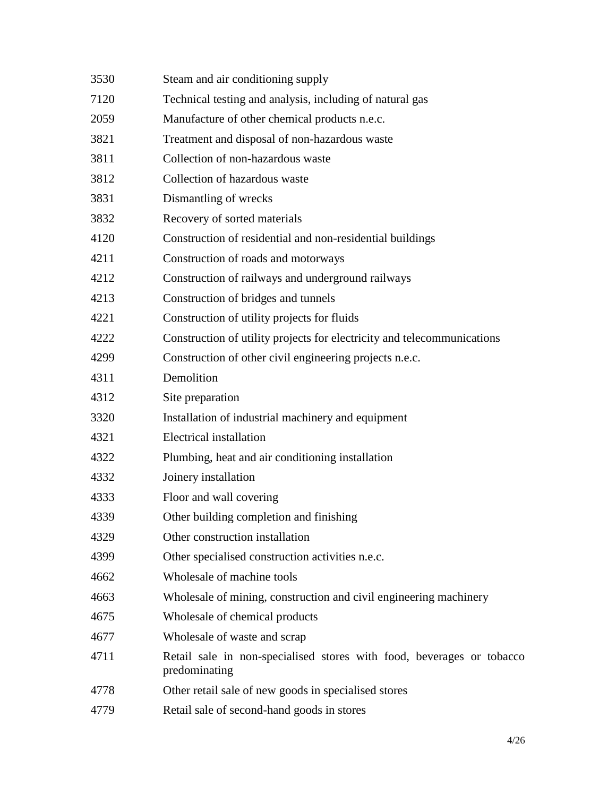| 3530 | Steam and air conditioning supply                                                      |  |  |
|------|----------------------------------------------------------------------------------------|--|--|
| 7120 | Technical testing and analysis, including of natural gas                               |  |  |
| 2059 | Manufacture of other chemical products n.e.c.                                          |  |  |
| 3821 | Treatment and disposal of non-hazardous waste                                          |  |  |
| 3811 | Collection of non-hazardous waste                                                      |  |  |
| 3812 | Collection of hazardous waste                                                          |  |  |
| 3831 | Dismantling of wrecks                                                                  |  |  |
| 3832 | Recovery of sorted materials                                                           |  |  |
| 4120 | Construction of residential and non-residential buildings                              |  |  |
| 4211 | Construction of roads and motorways                                                    |  |  |
| 4212 | Construction of railways and underground railways                                      |  |  |
| 4213 | Construction of bridges and tunnels                                                    |  |  |
| 4221 | Construction of utility projects for fluids                                            |  |  |
| 4222 | Construction of utility projects for electricity and telecommunications                |  |  |
| 4299 | Construction of other civil engineering projects n.e.c.                                |  |  |
| 4311 | Demolition                                                                             |  |  |
| 4312 | Site preparation                                                                       |  |  |
| 3320 | Installation of industrial machinery and equipment                                     |  |  |
| 4321 | <b>Electrical installation</b>                                                         |  |  |
| 4322 | Plumbing, heat and air conditioning installation                                       |  |  |
| 4332 | Joinery installation                                                                   |  |  |
| 4333 | Floor and wall covering                                                                |  |  |
| 4339 | Other building completion and finishing                                                |  |  |
| 4329 | Other construction installation                                                        |  |  |
| 4399 | Other specialised construction activities n.e.c.                                       |  |  |
| 4662 | Wholesale of machine tools                                                             |  |  |
| 4663 | Wholesale of mining, construction and civil engineering machinery                      |  |  |
| 4675 | Wholesale of chemical products                                                         |  |  |
| 4677 | Wholesale of waste and scrap                                                           |  |  |
| 4711 | Retail sale in non-specialised stores with food, beverages or tobacco<br>predominating |  |  |
| 4778 | Other retail sale of new goods in specialised stores                                   |  |  |
| 4779 | Retail sale of second-hand goods in stores                                             |  |  |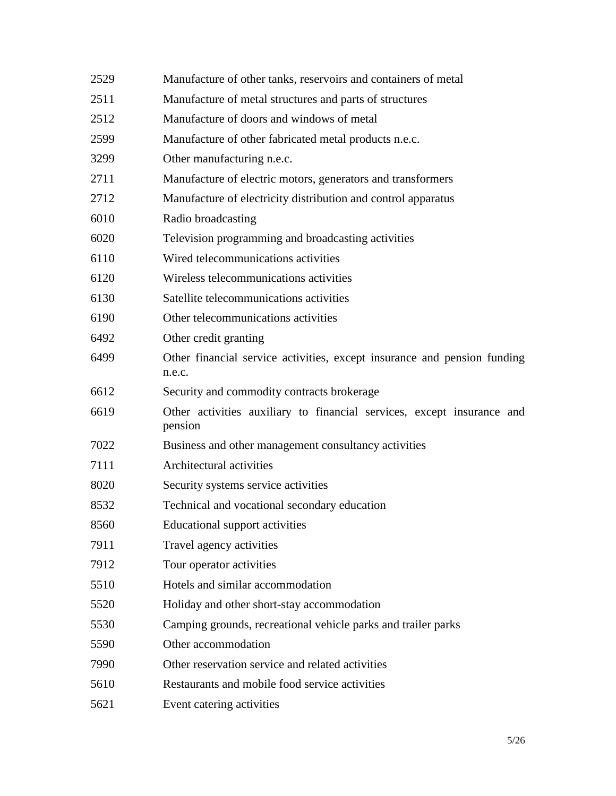| 2529 | Manufacture of other tanks, reservoirs and containers of metal                     |
|------|------------------------------------------------------------------------------------|
| 2511 | Manufacture of metal structures and parts of structures                            |
| 2512 | Manufacture of doors and windows of metal                                          |
| 2599 | Manufacture of other fabricated metal products n.e.c.                              |
| 3299 | Other manufacturing n.e.c.                                                         |
| 2711 | Manufacture of electric motors, generators and transformers                        |
| 2712 | Manufacture of electricity distribution and control apparatus                      |
| 6010 | Radio broadcasting                                                                 |
| 6020 | Television programming and broadcasting activities                                 |
| 6110 | Wired telecommunications activities                                                |
| 6120 | Wireless telecommunications activities                                             |
| 6130 | Satellite telecommunications activities                                            |
| 6190 | Other telecommunications activities                                                |
| 6492 | Other credit granting                                                              |
| 6499 | Other financial service activities, except insurance and pension funding<br>n.e.c. |
| 6612 | Security and commodity contracts brokerage                                         |
| 6619 | Other activities auxiliary to financial services, except insurance and<br>pension  |
| 7022 | Business and other management consultancy activities                               |
| 7111 | Architectural activities                                                           |
| 8020 | Security systems service activities                                                |
| 8532 | Technical and vocational secondary education                                       |
| 8560 | <b>Educational support activities</b>                                              |
| 7911 | Travel agency activities                                                           |
| 7912 | Tour operator activities                                                           |
| 5510 | Hotels and similar accommodation                                                   |
| 5520 | Holiday and other short-stay accommodation                                         |
| 5530 | Camping grounds, recreational vehicle parks and trailer parks                      |
| 5590 | Other accommodation                                                                |
| 7990 | Other reservation service and related activities                                   |
| 5610 | Restaurants and mobile food service activities                                     |
| 5621 | Event catering activities                                                          |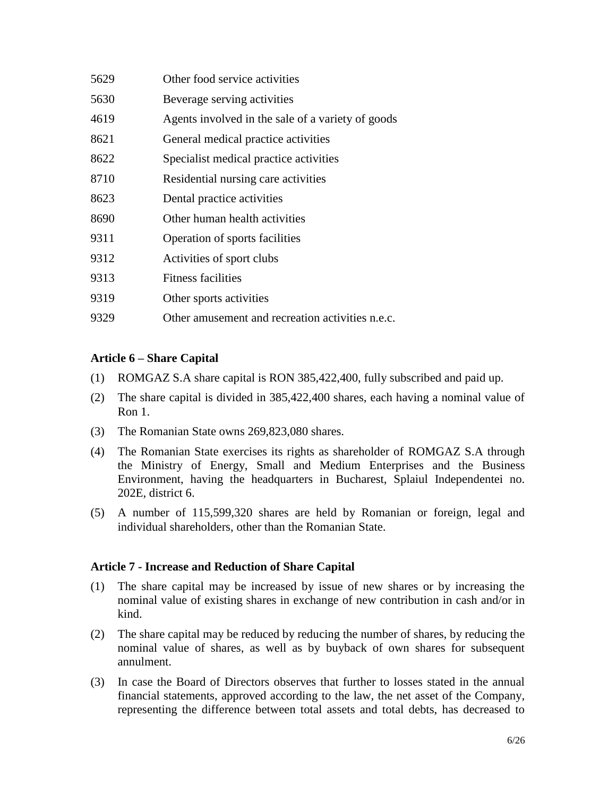| 5629 | Other food service activities                     |
|------|---------------------------------------------------|
| 5630 | Beverage serving activities                       |
| 4619 | Agents involved in the sale of a variety of goods |
| 8621 | General medical practice activities               |
| 8622 | Specialist medical practice activities            |
| 8710 | Residential nursing care activities               |
| 8623 | Dental practice activities                        |
| 8690 | Other human health activities                     |
| 9311 | Operation of sports facilities                    |
| 9312 | Activities of sport clubs                         |
| 9313 | Fitness facilities                                |
| 9319 | Other sports activities                           |
|      |                                                   |

9329 Other amusement and recreation activities n.e.c.

## **Article 6 – Share Capital**

- (1) ROMGAZ S.A share capital is RON 385,422,400, fully subscribed and paid up.
- (2) The share capital is divided in 385,422,400 shares, each having a nominal value of Ron 1.
- (3) The Romanian State owns 269,823,080 shares.
- (4) The Romanian State exercises its rights as shareholder of ROMGAZ S.A through the Ministry of Energy, Small and Medium Enterprises and the Business Environment, having the headquarters in Bucharest, Splaiul Independentei no. 202E, district 6.
- (5) A number of 115,599,320 shares are held by Romanian or foreign, legal and individual shareholders, other than the Romanian State.

## **Article 7 - Increase and Reduction of Share Capital**

- (1) The share capital may be increased by issue of new shares or by increasing the nominal value of existing shares in exchange of new contribution in cash and/or in kind.
- (2) The share capital may be reduced by reducing the number of shares, by reducing the nominal value of shares, as well as by buyback of own shares for subsequent annulment.
- (3) In case the Board of Directors observes that further to losses stated in the annual financial statements, approved according to the law, the net asset of the Company, representing the difference between total assets and total debts, has decreased to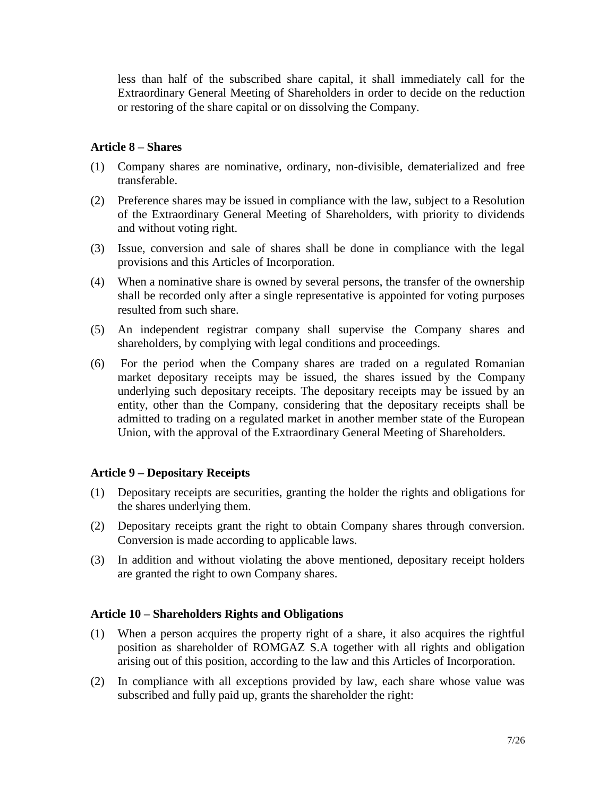less than half of the subscribed share capital, it shall immediately call for the Extraordinary General Meeting of Shareholders in order to decide on the reduction or restoring of the share capital or on dissolving the Company.

## **Article 8 – Shares**

- (1) Company shares are nominative, ordinary, non-divisible, dematerialized and free transferable.
- (2) Preference shares may be issued in compliance with the law, subject to a Resolution of the Extraordinary General Meeting of Shareholders, with priority to dividends and without voting right.
- (3) Issue, conversion and sale of shares shall be done in compliance with the legal provisions and this Articles of Incorporation.
- (4) When a nominative share is owned by several persons, the transfer of the ownership shall be recorded only after a single representative is appointed for voting purposes resulted from such share.
- (5) An independent registrar company shall supervise the Company shares and shareholders, by complying with legal conditions and proceedings.
- (6) For the period when the Company shares are traded on a regulated Romanian market depositary receipts may be issued, the shares issued by the Company underlying such depositary receipts. The depositary receipts may be issued by an entity, other than the Company, considering that the depositary receipts shall be admitted to trading on a regulated market in another member state of the European Union, with the approval of the Extraordinary General Meeting of Shareholders.

## **Article 9 – Depositary Receipts**

- (1) Depositary receipts are securities, granting the holder the rights and obligations for the shares underlying them.
- (2) Depositary receipts grant the right to obtain Company shares through conversion. Conversion is made according to applicable laws.
- (3) In addition and without violating the above mentioned, depositary receipt holders are granted the right to own Company shares.

#### **Article 10 – Shareholders Rights and Obligations**

- (1) When a person acquires the property right of a share, it also acquires the rightful position as shareholder of ROMGAZ S.A together with all rights and obligation arising out of this position, according to the law and this Articles of Incorporation.
- (2) In compliance with all exceptions provided by law, each share whose value was subscribed and fully paid up, grants the shareholder the right: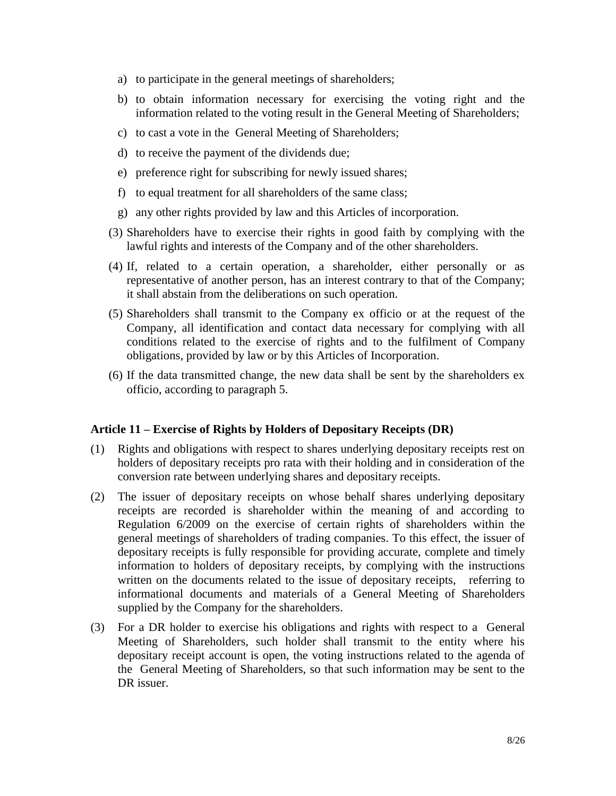- a) to participate in the general meetings of shareholders;
- b) to obtain information necessary for exercising the voting right and the information related to the voting result in the General Meeting of Shareholders;
- c) to cast a vote in the General Meeting of Shareholders;
- d) to receive the payment of the dividends due;
- e) preference right for subscribing for newly issued shares;
- f) to equal treatment for all shareholders of the same class;
- g) any other rights provided by law and this Articles of incorporation.
- (3) Shareholders have to exercise their rights in good faith by complying with the lawful rights and interests of the Company and of the other shareholders.
- (4) If, related to a certain operation, a shareholder, either personally or as representative of another person, has an interest contrary to that of the Company; it shall abstain from the deliberations on such operation.
- (5) Shareholders shall transmit to the Company ex officio or at the request of the Company, all identification and contact data necessary for complying with all conditions related to the exercise of rights and to the fulfilment of Company obligations, provided by law or by this Articles of Incorporation.
- (6) If the data transmitted change, the new data shall be sent by the shareholders ex officio, according to paragraph 5.

#### **Article 11 – Exercise of Rights by Holders of Depositary Receipts (DR)**

- (1) Rights and obligations with respect to shares underlying depositary receipts rest on holders of depositary receipts pro rata with their holding and in consideration of the conversion rate between underlying shares and depositary receipts.
- (2) The issuer of depositary receipts on whose behalf shares underlying depositary receipts are recorded is shareholder within the meaning of and according to Regulation 6/2009 on the exercise of certain rights of shareholders within the general meetings of shareholders of trading companies. To this effect, the issuer of depositary receipts is fully responsible for providing accurate, complete and timely information to holders of depositary receipts, by complying with the instructions written on the documents related to the issue of depositary receipts, referring to informational documents and materials of a General Meeting of Shareholders supplied by the Company for the shareholders.
- (3) For a DR holder to exercise his obligations and rights with respect to a General Meeting of Shareholders, such holder shall transmit to the entity where his depositary receipt account is open, the voting instructions related to the agenda of the General Meeting of Shareholders, so that such information may be sent to the DR issuer.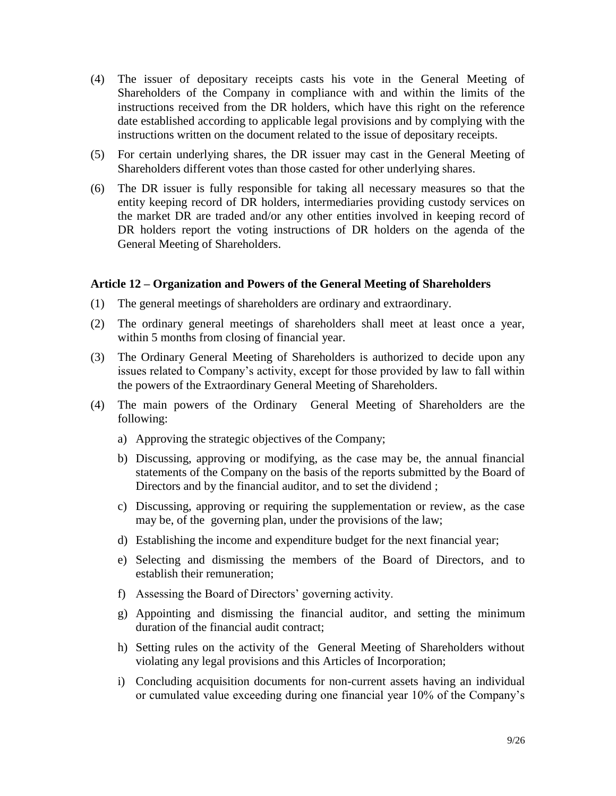- (4) The issuer of depositary receipts casts his vote in the General Meeting of Shareholders of the Company in compliance with and within the limits of the instructions received from the DR holders, which have this right on the reference date established according to applicable legal provisions and by complying with the instructions written on the document related to the issue of depositary receipts.
- (5) For certain underlying shares, the DR issuer may cast in the General Meeting of Shareholders different votes than those casted for other underlying shares.
- (6) The DR issuer is fully responsible for taking all necessary measures so that the entity keeping record of DR holders, intermediaries providing custody services on the market DR are traded and/or any other entities involved in keeping record of DR holders report the voting instructions of DR holders on the agenda of the General Meeting of Shareholders.

#### **Article 12 – Organization and Powers of the General Meeting of Shareholders**

- (1) The general meetings of shareholders are ordinary and extraordinary.
- (2) The ordinary general meetings of shareholders shall meet at least once a year, within 5 months from closing of financial year.
- (3) The Ordinary General Meeting of Shareholders is authorized to decide upon any issues related to Company's activity, except for those provided by law to fall within the powers of the Extraordinary General Meeting of Shareholders.
- (4) The main powers of the Ordinary General Meeting of Shareholders are the following:
	- a) Approving the strategic objectives of the Company;
	- b) Discussing, approving or modifying, as the case may be, the annual financial statements of the Company on the basis of the reports submitted by the Board of Directors and by the financial auditor, and to set the dividend ;
	- c) Discussing, approving or requiring the supplementation or review, as the case may be, of the governing plan, under the provisions of the law;
	- d) Establishing the income and expenditure budget for the next financial year;
	- e) Selecting and dismissing the members of the Board of Directors, and to establish their remuneration;
	- f) Assessing the Board of Directors' governing activity.
	- g) Appointing and dismissing the financial auditor, and setting the minimum duration of the financial audit contract;
	- h) Setting rules on the activity of the General Meeting of Shareholders without violating any legal provisions and this Articles of Incorporation;
	- i) Concluding acquisition documents for non-current assets having an individual or cumulated value exceeding during one financial year 10% of the Company's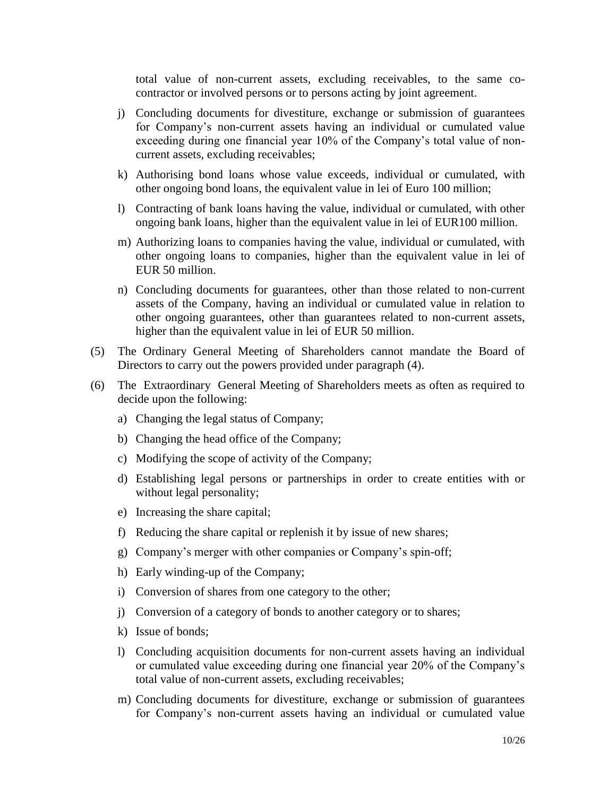total value of non-current assets, excluding receivables, to the same cocontractor or involved persons or to persons acting by joint agreement.

- j) Concluding documents for divestiture, exchange or submission of guarantees for Company's non-current assets having an individual or cumulated value exceeding during one financial year 10% of the Company's total value of noncurrent assets, excluding receivables;
- k) Authorising bond loans whose value exceeds, individual or cumulated, with other ongoing bond loans, the equivalent value in lei of Euro 100 million;
- l) Contracting of bank loans having the value, individual or cumulated, with other ongoing bank loans, higher than the equivalent value in lei of EUR100 million.
- m) Authorizing loans to companies having the value, individual or cumulated, with other ongoing loans to companies, higher than the equivalent value in lei of EUR 50 million.
- n) Concluding documents for guarantees, other than those related to non-current assets of the Company, having an individual or cumulated value in relation to other ongoing guarantees, other than guarantees related to non-current assets, higher than the equivalent value in lei of EUR 50 million.
- (5) The Ordinary General Meeting of Shareholders cannot mandate the Board of Directors to carry out the powers provided under paragraph (4).
- (6) The Extraordinary General Meeting of Shareholders meets as often as required to decide upon the following:
	- a) Changing the legal status of Company;
	- b) Changing the head office of the Company;
	- c) Modifying the scope of activity of the Company;
	- d) Establishing legal persons or partnerships in order to create entities with or without legal personality;
	- e) Increasing the share capital;
	- f) Reducing the share capital or replenish it by issue of new shares;
	- g) Company's merger with other companies or Company's spin-off;
	- h) Early winding-up of the Company;
	- i) Conversion of shares from one category to the other;
	- j) Conversion of a category of bonds to another category or to shares;
	- k) Issue of bonds;
	- l) Concluding acquisition documents for non-current assets having an individual or cumulated value exceeding during one financial year 20% of the Company's total value of non-current assets, excluding receivables;
	- m) Concluding documents for divestiture, exchange or submission of guarantees for Company's non-current assets having an individual or cumulated value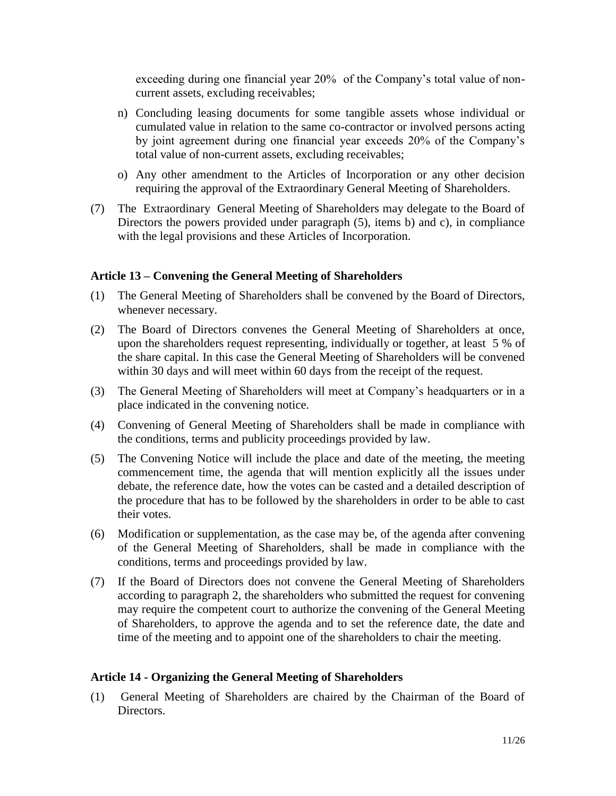exceeding during one financial year 20% of the Company's total value of noncurrent assets, excluding receivables;

- n) Concluding leasing documents for some tangible assets whose individual or cumulated value in relation to the same co-contractor or involved persons acting by joint agreement during one financial year exceeds 20% of the Company's total value of non-current assets, excluding receivables;
- o) Any other amendment to the Articles of Incorporation or any other decision requiring the approval of the Extraordinary General Meeting of Shareholders.
- (7) The Extraordinary General Meeting of Shareholders may delegate to the Board of Directors the powers provided under paragraph (5), items b) and c), in compliance with the legal provisions and these Articles of Incorporation.

#### **Article 13 – Convening the General Meeting of Shareholders**

- (1) The General Meeting of Shareholders shall be convened by the Board of Directors, whenever necessary.
- (2) The Board of Directors convenes the General Meeting of Shareholders at once, upon the shareholders request representing, individually or together, at least 5 % of the share capital. In this case the General Meeting of Shareholders will be convened within 30 days and will meet within 60 days from the receipt of the request.
- (3) The General Meeting of Shareholders will meet at Company's headquarters or in a place indicated in the convening notice.
- (4) Convening of General Meeting of Shareholders shall be made in compliance with the conditions, terms and publicity proceedings provided by law.
- (5) The Convening Notice will include the place and date of the meeting, the meeting commencement time, the agenda that will mention explicitly all the issues under debate, the reference date, how the votes can be casted and a detailed description of the procedure that has to be followed by the shareholders in order to be able to cast their votes.
- (6) Modification or supplementation, as the case may be, of the agenda after convening of the General Meeting of Shareholders, shall be made in compliance with the conditions, terms and proceedings provided by law.
- (7) If the Board of Directors does not convene the General Meeting of Shareholders according to paragraph 2, the shareholders who submitted the request for convening may require the competent court to authorize the convening of the General Meeting of Shareholders, to approve the agenda and to set the reference date, the date and time of the meeting and to appoint one of the shareholders to chair the meeting.

#### **Article 14 - Organizing the General Meeting of Shareholders**

(1) General Meeting of Shareholders are chaired by the Chairman of the Board of Directors.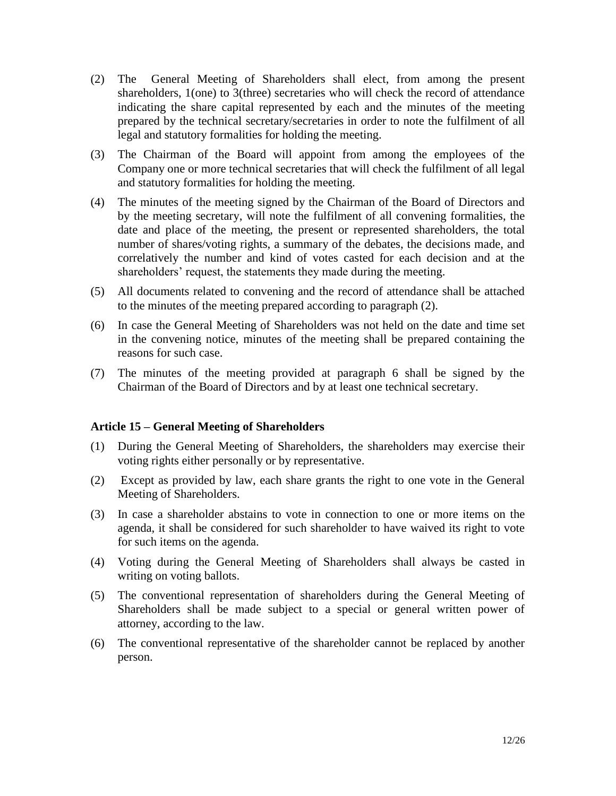- (2) The General Meeting of Shareholders shall elect, from among the present shareholders, 1(one) to 3(three) secretaries who will check the record of attendance indicating the share capital represented by each and the minutes of the meeting prepared by the technical secretary/secretaries in order to note the fulfilment of all legal and statutory formalities for holding the meeting.
- (3) The Chairman of the Board will appoint from among the employees of the Company one or more technical secretaries that will check the fulfilment of all legal and statutory formalities for holding the meeting.
- (4) The minutes of the meeting signed by the Chairman of the Board of Directors and by the meeting secretary, will note the fulfilment of all convening formalities, the date and place of the meeting, the present or represented shareholders, the total number of shares/voting rights, a summary of the debates, the decisions made, and correlatively the number and kind of votes casted for each decision and at the shareholders' request, the statements they made during the meeting.
- (5) All documents related to convening and the record of attendance shall be attached to the minutes of the meeting prepared according to paragraph (2).
- (6) In case the General Meeting of Shareholders was not held on the date and time set in the convening notice, minutes of the meeting shall be prepared containing the reasons for such case.
- (7) The minutes of the meeting provided at paragraph 6 shall be signed by the Chairman of the Board of Directors and by at least one technical secretary.

#### **Article 15 – General Meeting of Shareholders**

- (1) During the General Meeting of Shareholders, the shareholders may exercise their voting rights either personally or by representative.
- (2) Except as provided by law, each share grants the right to one vote in the General Meeting of Shareholders.
- (3) In case a shareholder abstains to vote in connection to one or more items on the agenda, it shall be considered for such shareholder to have waived its right to vote for such items on the agenda.
- (4) Voting during the General Meeting of Shareholders shall always be casted in writing on voting ballots.
- (5) The conventional representation of shareholders during the General Meeting of Shareholders shall be made subject to a special or general written power of attorney, according to the law.
- (6) The conventional representative of the shareholder cannot be replaced by another person.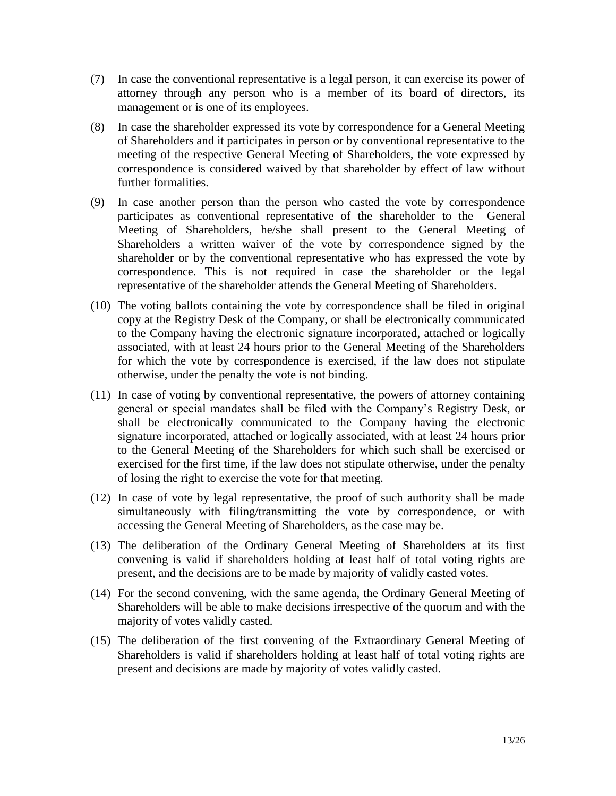- (7) In case the conventional representative is a legal person, it can exercise its power of attorney through any person who is a member of its board of directors, its management or is one of its employees.
- (8) In case the shareholder expressed its vote by correspondence for a General Meeting of Shareholders and it participates in person or by conventional representative to the meeting of the respective General Meeting of Shareholders, the vote expressed by correspondence is considered waived by that shareholder by effect of law without further formalities.
- (9) In case another person than the person who casted the vote by correspondence participates as conventional representative of the shareholder to the General Meeting of Shareholders, he/she shall present to the General Meeting of Shareholders a written waiver of the vote by correspondence signed by the shareholder or by the conventional representative who has expressed the vote by correspondence. This is not required in case the shareholder or the legal representative of the shareholder attends the General Meeting of Shareholders.
- (10) The voting ballots containing the vote by correspondence shall be filed in original copy at the Registry Desk of the Company, or shall be electronically communicated to the Company having the electronic signature incorporated, attached or logically associated, with at least 24 hours prior to the General Meeting of the Shareholders for which the vote by correspondence is exercised, if the law does not stipulate otherwise, under the penalty the vote is not binding.
- (11) In case of voting by conventional representative, the powers of attorney containing general or special mandates shall be filed with the Company's Registry Desk, or shall be electronically communicated to the Company having the electronic signature incorporated, attached or logically associated, with at least 24 hours prior to the General Meeting of the Shareholders for which such shall be exercised or exercised for the first time, if the law does not stipulate otherwise, under the penalty of losing the right to exercise the vote for that meeting.
- (12) In case of vote by legal representative, the proof of such authority shall be made simultaneously with filing/transmitting the vote by correspondence, or with accessing the General Meeting of Shareholders, as the case may be.
- (13) The deliberation of the Ordinary General Meeting of Shareholders at its first convening is valid if shareholders holding at least half of total voting rights are present, and the decisions are to be made by majority of validly casted votes.
- (14) For the second convening, with the same agenda, the Ordinary General Meeting of Shareholders will be able to make decisions irrespective of the quorum and with the majority of votes validly casted.
- (15) The deliberation of the first convening of the Extraordinary General Meeting of Shareholders is valid if shareholders holding at least half of total voting rights are present and decisions are made by majority of votes validly casted.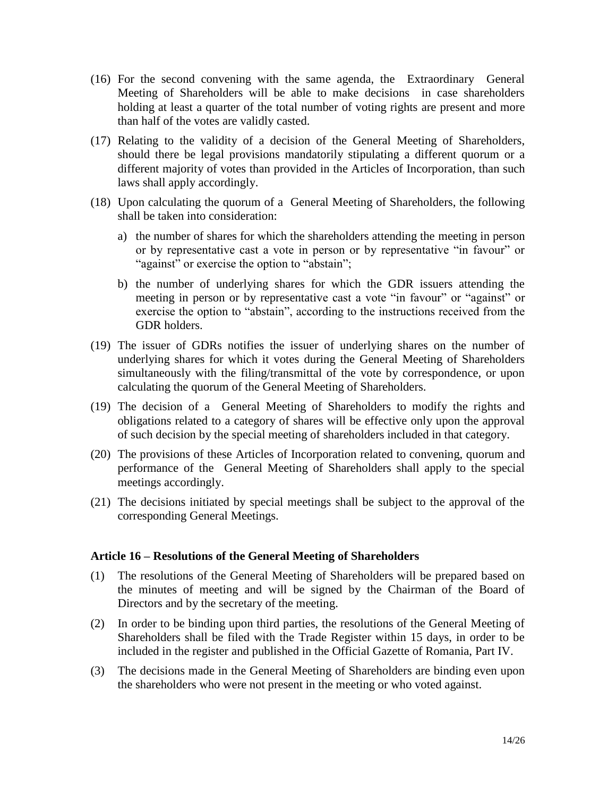- (16) For the second convening with the same agenda, the Extraordinary General Meeting of Shareholders will be able to make decisions in case shareholders holding at least a quarter of the total number of voting rights are present and more than half of the votes are validly casted.
- (17) Relating to the validity of a decision of the General Meeting of Shareholders, should there be legal provisions mandatorily stipulating a different quorum or a different majority of votes than provided in the Articles of Incorporation, than such laws shall apply accordingly.
- (18) Upon calculating the quorum of a General Meeting of Shareholders, the following shall be taken into consideration:
	- a) the number of shares for which the shareholders attending the meeting in person or by representative cast a vote in person or by representative "in favour" or "against" or exercise the option to "abstain";
	- b) the number of underlying shares for which the GDR issuers attending the meeting in person or by representative cast a vote "in favour" or "against" or exercise the option to "abstain", according to the instructions received from the GDR holders.
- (19) The issuer of GDRs notifies the issuer of underlying shares on the number of underlying shares for which it votes during the General Meeting of Shareholders simultaneously with the filing/transmittal of the vote by correspondence, or upon calculating the quorum of the General Meeting of Shareholders.
- (19) The decision of a General Meeting of Shareholders to modify the rights and obligations related to a category of shares will be effective only upon the approval of such decision by the special meeting of shareholders included in that category.
- (20) The provisions of these Articles of Incorporation related to convening, quorum and performance of the General Meeting of Shareholders shall apply to the special meetings accordingly.
- (21) The decisions initiated by special meetings shall be subject to the approval of the corresponding General Meetings.

#### **Article 16 – Resolutions of the General Meeting of Shareholders**

- (1) The resolutions of the General Meeting of Shareholders will be prepared based on the minutes of meeting and will be signed by the Chairman of the Board of Directors and by the secretary of the meeting.
- (2) In order to be binding upon third parties, the resolutions of the General Meeting of Shareholders shall be filed with the Trade Register within 15 days, in order to be included in the register and published in the Official Gazette of Romania, Part IV.
- (3) The decisions made in the General Meeting of Shareholders are binding even upon the shareholders who were not present in the meeting or who voted against.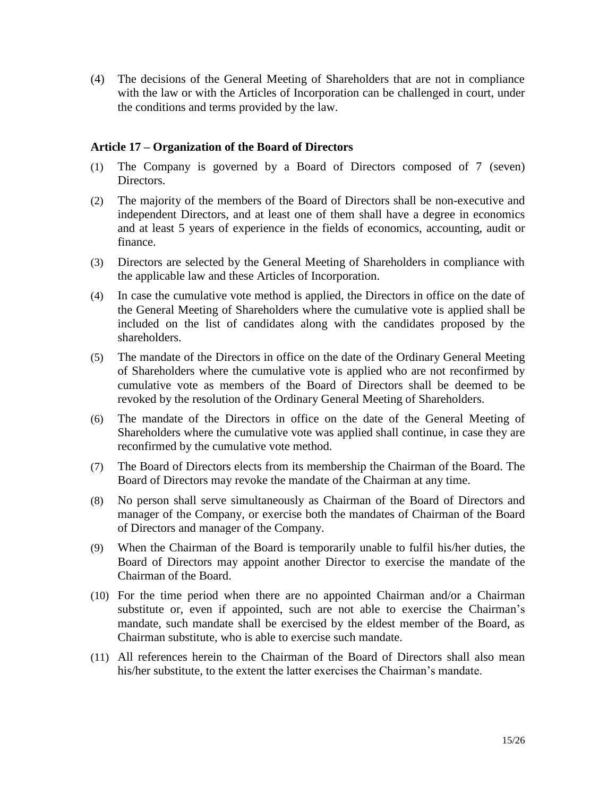(4) The decisions of the General Meeting of Shareholders that are not in compliance with the law or with the Articles of Incorporation can be challenged in court, under the conditions and terms provided by the law.

#### **Article 17 – Organization of the Board of Directors**

- (1) The Company is governed by a Board of Directors composed of 7 (seven) Directors.
- (2) The majority of the members of the Board of Directors shall be non-executive and independent Directors, and at least one of them shall have a degree in economics and at least 5 years of experience in the fields of economics, accounting, audit or finance.
- (3) Directors are selected by the General Meeting of Shareholders in compliance with the applicable law and these Articles of Incorporation.
- (4) In case the cumulative vote method is applied, the Directors in office on the date of the General Meeting of Shareholders where the cumulative vote is applied shall be included on the list of candidates along with the candidates proposed by the shareholders.
- (5) The mandate of the Directors in office on the date of the Ordinary General Meeting of Shareholders where the cumulative vote is applied who are not reconfirmed by cumulative vote as members of the Board of Directors shall be deemed to be revoked by the resolution of the Ordinary General Meeting of Shareholders.
- (6) The mandate of the Directors in office on the date of the General Meeting of Shareholders where the cumulative vote was applied shall continue, in case they are reconfirmed by the cumulative vote method.
- (7) The Board of Directors elects from its membership the Chairman of the Board. The Board of Directors may revoke the mandate of the Chairman at any time.
- (8) No person shall serve simultaneously as Chairman of the Board of Directors and manager of the Company, or exercise both the mandates of Chairman of the Board of Directors and manager of the Company.
- (9) When the Chairman of the Board is temporarily unable to fulfil his/her duties, the Board of Directors may appoint another Director to exercise the mandate of the Chairman of the Board.
- (10) For the time period when there are no appointed Chairman and/or a Chairman substitute or, even if appointed, such are not able to exercise the Chairman's mandate, such mandate shall be exercised by the eldest member of the Board, as Chairman substitute, who is able to exercise such mandate.
- (11) All references herein to the Chairman of the Board of Directors shall also mean his/her substitute, to the extent the latter exercises the Chairman's mandate.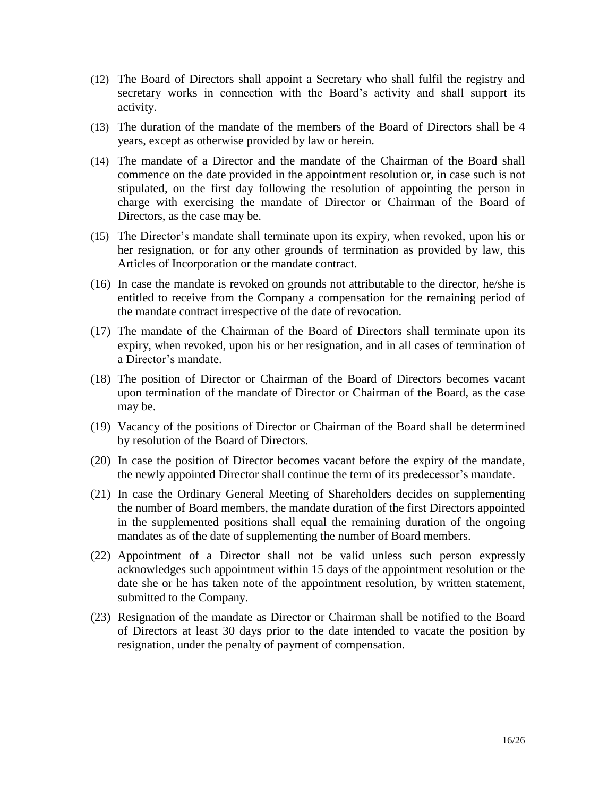- (12) The Board of Directors shall appoint a Secretary who shall fulfil the registry and secretary works in connection with the Board's activity and shall support its activity.
- (13) The duration of the mandate of the members of the Board of Directors shall be 4 years, except as otherwise provided by law or herein.
- (14) The mandate of a Director and the mandate of the Chairman of the Board shall commence on the date provided in the appointment resolution or, in case such is not stipulated, on the first day following the resolution of appointing the person in charge with exercising the mandate of Director or Chairman of the Board of Directors, as the case may be.
- (15) The Director's mandate shall terminate upon its expiry, when revoked, upon his or her resignation, or for any other grounds of termination as provided by law, this Articles of Incorporation or the mandate contract.
- (16) In case the mandate is revoked on grounds not attributable to the director, he/she is entitled to receive from the Company a compensation for the remaining period of the mandate contract irrespective of the date of revocation.
- (17) The mandate of the Chairman of the Board of Directors shall terminate upon its expiry, when revoked, upon his or her resignation, and in all cases of termination of a Director's mandate.
- (18) The position of Director or Chairman of the Board of Directors becomes vacant upon termination of the mandate of Director or Chairman of the Board, as the case may be.
- (19) Vacancy of the positions of Director or Chairman of the Board shall be determined by resolution of the Board of Directors.
- (20) In case the position of Director becomes vacant before the expiry of the mandate, the newly appointed Director shall continue the term of its predecessor's mandate.
- (21) In case the Ordinary General Meeting of Shareholders decides on supplementing the number of Board members, the mandate duration of the first Directors appointed in the supplemented positions shall equal the remaining duration of the ongoing mandates as of the date of supplementing the number of Board members.
- (22) Appointment of a Director shall not be valid unless such person expressly acknowledges such appointment within 15 days of the appointment resolution or the date she or he has taken note of the appointment resolution, by written statement, submitted to the Company.
- (23) Resignation of the mandate as Director or Chairman shall be notified to the Board of Directors at least 30 days prior to the date intended to vacate the position by resignation, under the penalty of payment of compensation.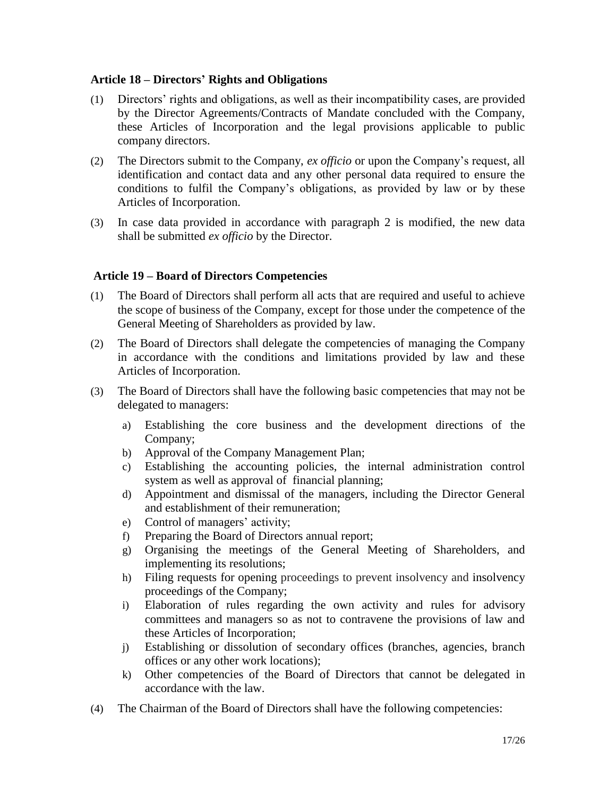#### **Article 18 – Directors' Rights and Obligations**

- (1) Directors' rights and obligations, as well as their incompatibility cases, are provided by the Director Agreements/Contracts of Mandate concluded with the Company, these Articles of Incorporation and the legal provisions applicable to public company directors.
- (2) The Directors submit to the Company, *ex officio* or upon the Company's request, all identification and contact data and any other personal data required to ensure the conditions to fulfil the Company's obligations, as provided by law or by these Articles of Incorporation.
- (3) In case data provided in accordance with paragraph 2 is modified, the new data shall be submitted *ex officio* by the Director.

#### **Article 19 – Board of Directors Competencies**

- (1) The Board of Directors shall perform all acts that are required and useful to achieve the scope of business of the Company, except for those under the competence of the General Meeting of Shareholders as provided by law.
- (2) The Board of Directors shall delegate the competencies of managing the Company in accordance with the conditions and limitations provided by law and these Articles of Incorporation.
- (3) The Board of Directors shall have the following basic competencies that may not be delegated to managers:
	- a) Establishing the core business and the development directions of the Company;
	- b) Approval of the Company Management Plan;
	- c) Establishing the accounting policies, the internal administration control system as well as approval of financial planning;
	- d) Appointment and dismissal of the managers, including the Director General and establishment of their remuneration;
	- e) Control of managers' activity;
	- f) Preparing the Board of Directors annual report;
	- g) Organising the meetings of the General Meeting of Shareholders, and implementing its resolutions;
	- h) Filing requests for opening proceedings to prevent insolvency and insolvency proceedings of the Company;
	- i) Elaboration of rules regarding the own activity and rules for advisory committees and managers so as not to contravene the provisions of law and these Articles of Incorporation;
	- j) Establishing or dissolution of secondary offices (branches, agencies, branch offices or any other work locations);
	- k) Other competencies of the Board of Directors that cannot be delegated in accordance with the law.
- (4) The Chairman of the Board of Directors shall have the following competencies: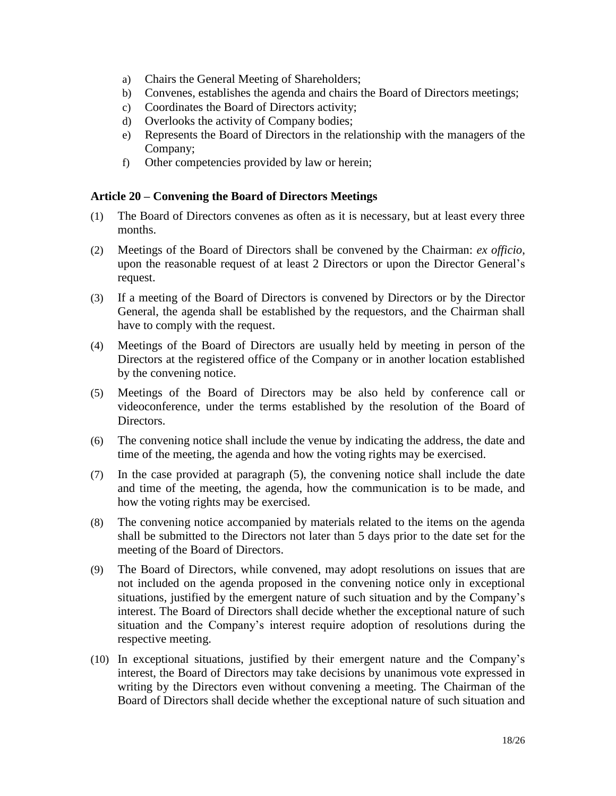- a) Chairs the General Meeting of Shareholders;
- b) Convenes, establishes the agenda and chairs the Board of Directors meetings;
- c) Coordinates the Board of Directors activity;
- d) Overlooks the activity of Company bodies;
- e) Represents the Board of Directors in the relationship with the managers of the Company;
- f) Other competencies provided by law or herein;

#### **Article 20 – Convening the Board of Directors Meetings**

- (1) The Board of Directors convenes as often as it is necessary, but at least every three months.
- (2) Meetings of the Board of Directors shall be convened by the Chairman: *ex officio*, upon the reasonable request of at least 2 Directors or upon the Director General's request.
- (3) If a meeting of the Board of Directors is convened by Directors or by the Director General, the agenda shall be established by the requestors, and the Chairman shall have to comply with the request.
- (4) Meetings of the Board of Directors are usually held by meeting in person of the Directors at the registered office of the Company or in another location established by the convening notice.
- (5) Meetings of the Board of Directors may be also held by conference call or videoconference, under the terms established by the resolution of the Board of Directors.
- (6) The convening notice shall include the venue by indicating the address, the date and time of the meeting, the agenda and how the voting rights may be exercised.
- (7) In the case provided at paragraph (5), the convening notice shall include the date and time of the meeting, the agenda, how the communication is to be made, and how the voting rights may be exercised.
- (8) The convening notice accompanied by materials related to the items on the agenda shall be submitted to the Directors not later than 5 days prior to the date set for the meeting of the Board of Directors.
- (9) The Board of Directors, while convened, may adopt resolutions on issues that are not included on the agenda proposed in the convening notice only in exceptional situations, justified by the emergent nature of such situation and by the Company's interest. The Board of Directors shall decide whether the exceptional nature of such situation and the Company's interest require adoption of resolutions during the respective meeting.
- (10) In exceptional situations, justified by their emergent nature and the Company's interest, the Board of Directors may take decisions by unanimous vote expressed in writing by the Directors even without convening a meeting. The Chairman of the Board of Directors shall decide whether the exceptional nature of such situation and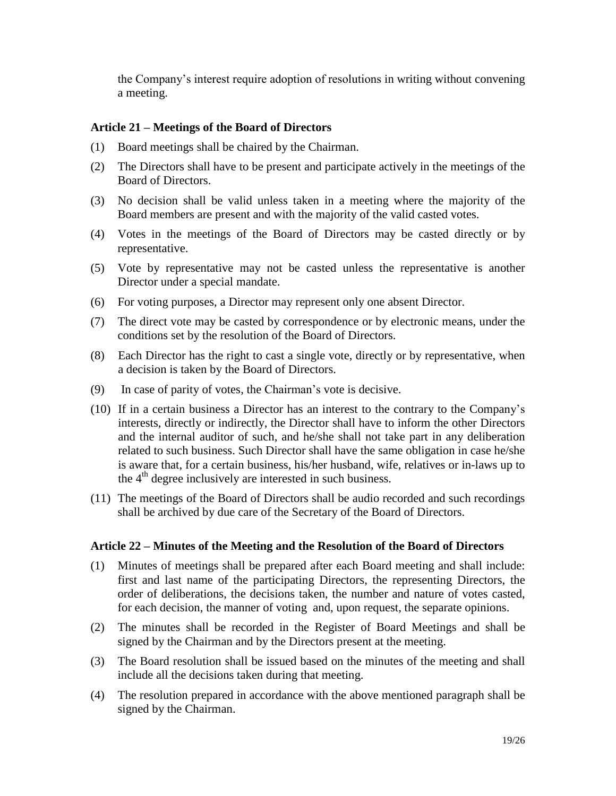the Company's interest require adoption of resolutions in writing without convening a meeting.

#### **Article 21 – Meetings of the Board of Directors**

- (1) Board meetings shall be chaired by the Chairman.
- (2) The Directors shall have to be present and participate actively in the meetings of the Board of Directors.
- (3) No decision shall be valid unless taken in a meeting where the majority of the Board members are present and with the majority of the valid casted votes.
- (4) Votes in the meetings of the Board of Directors may be casted directly or by representative.
- (5) Vote by representative may not be casted unless the representative is another Director under a special mandate.
- (6) For voting purposes, a Director may represent only one absent Director.
- (7) The direct vote may be casted by correspondence or by electronic means, under the conditions set by the resolution of the Board of Directors.
- (8) Each Director has the right to cast a single vote, directly or by representative, when a decision is taken by the Board of Directors.
- (9) In case of parity of votes, the Chairman's vote is decisive.
- (10) If in a certain business a Director has an interest to the contrary to the Company's interests, directly or indirectly, the Director shall have to inform the other Directors and the internal auditor of such, and he/she shall not take part in any deliberation related to such business. Such Director shall have the same obligation in case he/she is aware that, for a certain business, his/her husband, wife, relatives or in-laws up to the 4<sup>th</sup> degree inclusively are interested in such business.
- (11) The meetings of the Board of Directors shall be audio recorded and such recordings shall be archived by due care of the Secretary of the Board of Directors.

#### **Article 22 – Minutes of the Meeting and the Resolution of the Board of Directors**

- (1) Minutes of meetings shall be prepared after each Board meeting and shall include: first and last name of the participating Directors, the representing Directors, the order of deliberations, the decisions taken, the number and nature of votes casted, for each decision, the manner of voting and, upon request, the separate opinions.
- (2) The minutes shall be recorded in the Register of Board Meetings and shall be signed by the Chairman and by the Directors present at the meeting.
- (3) The Board resolution shall be issued based on the minutes of the meeting and shall include all the decisions taken during that meeting.
- (4) The resolution prepared in accordance with the above mentioned paragraph shall be signed by the Chairman.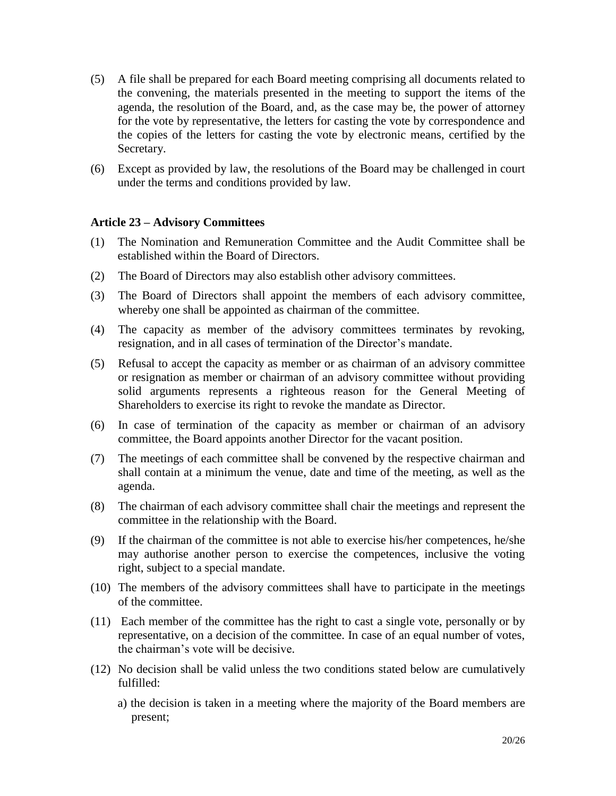- (5) A file shall be prepared for each Board meeting comprising all documents related to the convening, the materials presented in the meeting to support the items of the agenda, the resolution of the Board, and, as the case may be, the power of attorney for the vote by representative, the letters for casting the vote by correspondence and the copies of the letters for casting the vote by electronic means, certified by the Secretary.
- (6) Except as provided by law, the resolutions of the Board may be challenged in court under the terms and conditions provided by law.

#### **Article 23 – Advisory Committees**

- (1) The Nomination and Remuneration Committee and the Audit Committee shall be established within the Board of Directors.
- (2) The Board of Directors may also establish other advisory committees.
- (3) The Board of Directors shall appoint the members of each advisory committee, whereby one shall be appointed as chairman of the committee.
- (4) The capacity as member of the advisory committees terminates by revoking, resignation, and in all cases of termination of the Director's mandate.
- (5) Refusal to accept the capacity as member or as chairman of an advisory committee or resignation as member or chairman of an advisory committee without providing solid arguments represents a righteous reason for the General Meeting of Shareholders to exercise its right to revoke the mandate as Director.
- (6) In case of termination of the capacity as member or chairman of an advisory committee, the Board appoints another Director for the vacant position.
- (7) The meetings of each committee shall be convened by the respective chairman and shall contain at a minimum the venue, date and time of the meeting, as well as the agenda.
- (8) The chairman of each advisory committee shall chair the meetings and represent the committee in the relationship with the Board.
- (9) If the chairman of the committee is not able to exercise his/her competences, he/she may authorise another person to exercise the competences, inclusive the voting right, subject to a special mandate.
- (10) The members of the advisory committees shall have to participate in the meetings of the committee.
- (11) Each member of the committee has the right to cast a single vote, personally or by representative, on a decision of the committee. In case of an equal number of votes, the chairman's vote will be decisive.
- (12) No decision shall be valid unless the two conditions stated below are cumulatively fulfilled:
	- a) the decision is taken in a meeting where the majority of the Board members are present;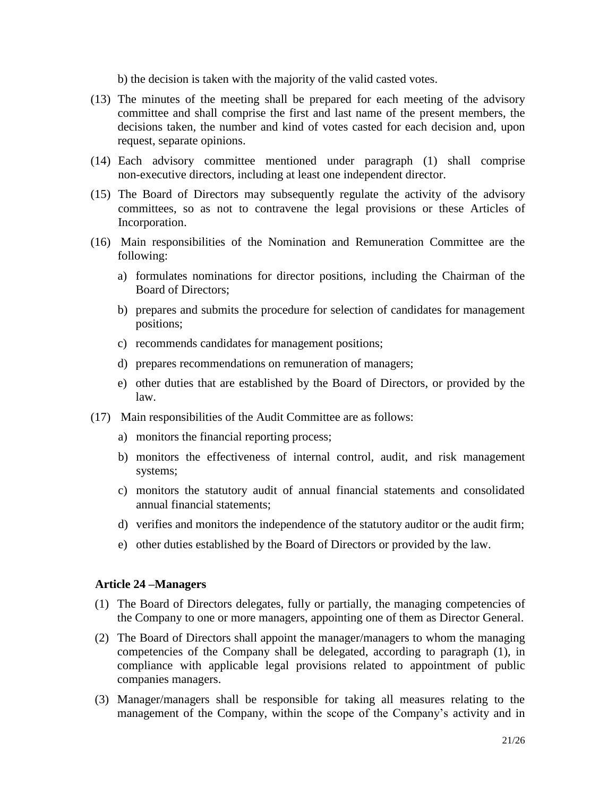b) the decision is taken with the majority of the valid casted votes.

- (13) The minutes of the meeting shall be prepared for each meeting of the advisory committee and shall comprise the first and last name of the present members, the decisions taken, the number and kind of votes casted for each decision and, upon request, separate opinions.
- (14) Each advisory committee mentioned under paragraph (1) shall comprise non-executive directors, including at least one independent director.
- (15) The Board of Directors may subsequently regulate the activity of the advisory committees, so as not to contravene the legal provisions or these Articles of Incorporation.
- (16) Main responsibilities of the Nomination and Remuneration Committee are the following:
	- a) formulates nominations for director positions, including the Chairman of the Board of Directors;
	- b) prepares and submits the procedure for selection of candidates for management positions;
	- c) recommends candidates for management positions;
	- d) prepares recommendations on remuneration of managers;
	- e) other duties that are established by the Board of Directors, or provided by the law.
- (17) Main responsibilities of the Audit Committee are as follows:
	- a) monitors the financial reporting process;
	- b) monitors the effectiveness of internal control, audit, and risk management systems;
	- c) monitors the statutory audit of annual financial statements and consolidated annual financial statements;
	- d) verifies and monitors the independence of the statutory auditor or the audit firm;
	- e) other duties established by the Board of Directors or provided by the law.

#### **Article 24 –Managers**

- (1) The Board of Directors delegates, fully or partially, the managing competencies of the Company to one or more managers, appointing one of them as Director General.
- (2) The Board of Directors shall appoint the manager/managers to whom the managing competencies of the Company shall be delegated, according to paragraph (1), in compliance with applicable legal provisions related to appointment of public companies managers.
- (3) Manager/managers shall be responsible for taking all measures relating to the management of the Company, within the scope of the Company's activity and in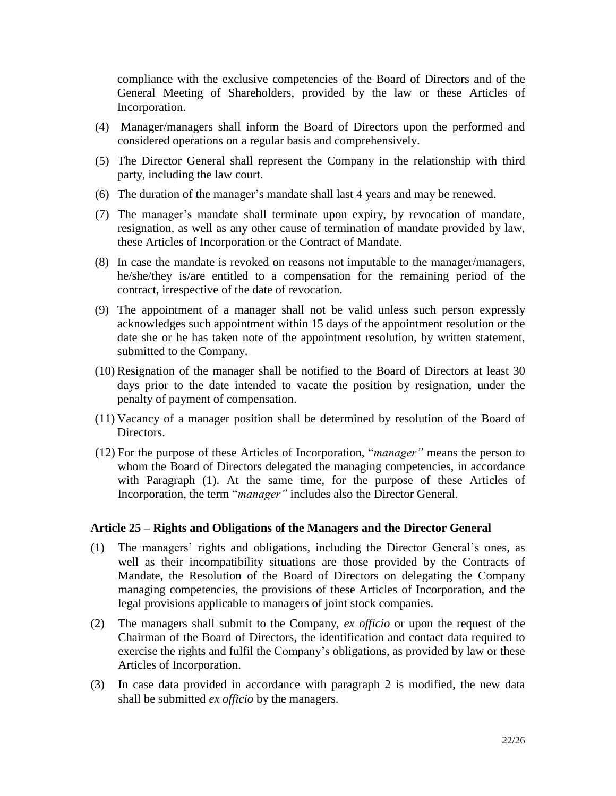compliance with the exclusive competencies of the Board of Directors and of the General Meeting of Shareholders, provided by the law or these Articles of Incorporation.

- (4) Manager/managers shall inform the Board of Directors upon the performed and considered operations on a regular basis and comprehensively.
- (5) The Director General shall represent the Company in the relationship with third party, including the law court.
- (6) The duration of the manager's mandate shall last 4 years and may be renewed.
- (7) The manager's mandate shall terminate upon expiry, by revocation of mandate, resignation, as well as any other cause of termination of mandate provided by law, these Articles of Incorporation or the Contract of Mandate.
- (8) In case the mandate is revoked on reasons not imputable to the manager/managers, he/she/they is/are entitled to a compensation for the remaining period of the contract, irrespective of the date of revocation.
- (9) The appointment of a manager shall not be valid unless such person expressly acknowledges such appointment within 15 days of the appointment resolution or the date she or he has taken note of the appointment resolution, by written statement, submitted to the Company.
- (10) Resignation of the manager shall be notified to the Board of Directors at least 30 days prior to the date intended to vacate the position by resignation, under the penalty of payment of compensation.
- (11) Vacancy of a manager position shall be determined by resolution of the Board of Directors.
- (12) For the purpose of these Articles of Incorporation, "*manager"* means the person to whom the Board of Directors delegated the managing competencies, in accordance with Paragraph (1). At the same time, for the purpose of these Articles of Incorporation, the term "*manager"* includes also the Director General.

## **Article 25 – Rights and Obligations of the Managers and the Director General**

- (1) The managers' rights and obligations, including the Director General's ones, as well as their incompatibility situations are those provided by the Contracts of Mandate, the Resolution of the Board of Directors on delegating the Company managing competencies, the provisions of these Articles of Incorporation, and the legal provisions applicable to managers of joint stock companies.
- (2) The managers shall submit to the Company, *ex officio* or upon the request of the Chairman of the Board of Directors, the identification and contact data required to exercise the rights and fulfil the Company's obligations, as provided by law or these Articles of Incorporation.
- (3) In case data provided in accordance with paragraph 2 is modified, the new data shall be submitted *ex officio* by the managers.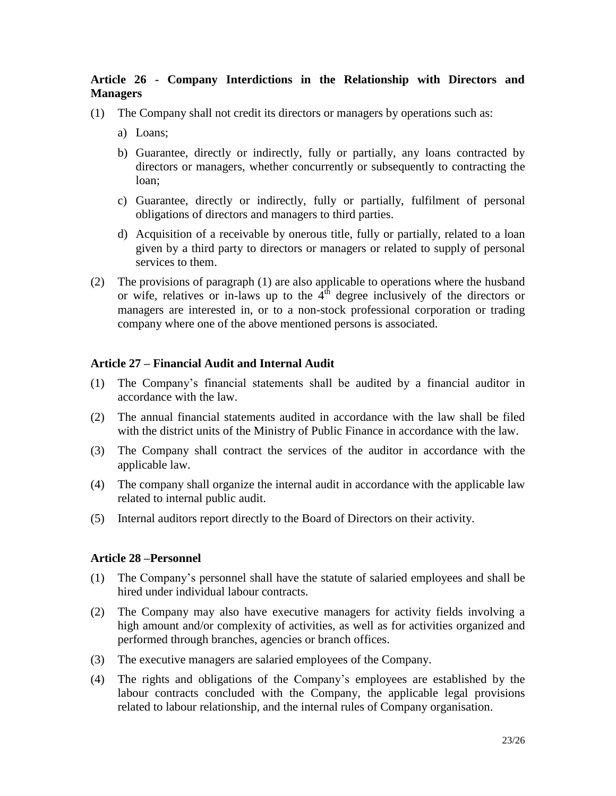## **Article 26 - Company Interdictions in the Relationship with Directors and Managers**

- (1) The Company shall not credit its directors or managers by operations such as:
	- a) Loans;
	- b) Guarantee, directly or indirectly, fully or partially, any loans contracted by directors or managers, whether concurrently or subsequently to contracting the loan;
	- c) Guarantee, directly or indirectly, fully or partially, fulfilment of personal obligations of directors and managers to third parties.
	- d) Acquisition of a receivable by onerous title, fully or partially, related to a loan given by a third party to directors or managers or related to supply of personal services to them.
- (2) The provisions of paragraph (1) are also applicable to operations where the husband or wife, relatives or in-laws up to the  $4<sup>th</sup>$  degree inclusively of the directors or managers are interested in, or to a non-stock professional corporation or trading company where one of the above mentioned persons is associated.

#### **Article 27 – Financial Audit and Internal Audit**

- (1) The Company's financial statements shall be audited by a financial auditor in accordance with the law.
- (2) The annual financial statements audited in accordance with the law shall be filed with the district units of the Ministry of Public Finance in accordance with the law.
- (3) The Company shall contract the services of the auditor in accordance with the applicable law.
- (4) The company shall organize the internal audit in accordance with the applicable law related to internal public audit.
- (5) Internal auditors report directly to the Board of Directors on their activity.

#### **Article 28 –Personnel**

- (1) The Company's personnel shall have the statute of salaried employees and shall be hired under individual labour contracts.
- (2) The Company may also have executive managers for activity fields involving a high amount and/or complexity of activities, as well as for activities organized and performed through branches, agencies or branch offices.
- (3) The executive managers are salaried employees of the Company.
- (4) The rights and obligations of the Company's employees are established by the labour contracts concluded with the Company, the applicable legal provisions related to labour relationship, and the internal rules of Company organisation.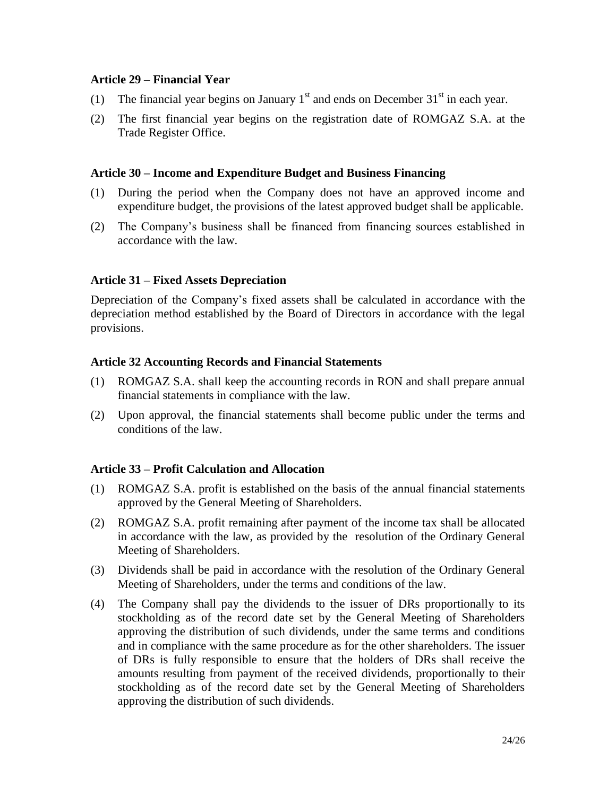#### **Article 29 – Financial Year**

- (1) The financial year begins on January  $1<sup>st</sup>$  and ends on December 31 $<sup>st</sup>$  in each year.</sup>
- (2) The first financial year begins on the registration date of ROMGAZ S.A. at the Trade Register Office.

#### **Article 30 – Income and Expenditure Budget and Business Financing**

- (1) During the period when the Company does not have an approved income and expenditure budget, the provisions of the latest approved budget shall be applicable.
- (2) The Company's business shall be financed from financing sources established in accordance with the law.

#### **Article 31 – Fixed Assets Depreciation**

Depreciation of the Company's fixed assets shall be calculated in accordance with the depreciation method established by the Board of Directors in accordance with the legal provisions.

#### **Article 32 Accounting Records and Financial Statements**

- (1) ROMGAZ S.A. shall keep the accounting records in RON and shall prepare annual financial statements in compliance with the law.
- (2) Upon approval, the financial statements shall become public under the terms and conditions of the law.

#### **Article 33 – Profit Calculation and Allocation**

- (1) ROMGAZ S.A. profit is established on the basis of the annual financial statements approved by the General Meeting of Shareholders.
- (2) ROMGAZ S.A. profit remaining after payment of the income tax shall be allocated in accordance with the law, as provided by the resolution of the Ordinary General Meeting of Shareholders.
- (3) Dividends shall be paid in accordance with the resolution of the Ordinary General Meeting of Shareholders, under the terms and conditions of the law.
- (4) The Company shall pay the dividends to the issuer of DRs proportionally to its stockholding as of the record date set by the General Meeting of Shareholders approving the distribution of such dividends, under the same terms and conditions and in compliance with the same procedure as for the other shareholders. The issuer of DRs is fully responsible to ensure that the holders of DRs shall receive the amounts resulting from payment of the received dividends, proportionally to their stockholding as of the record date set by the General Meeting of Shareholders approving the distribution of such dividends.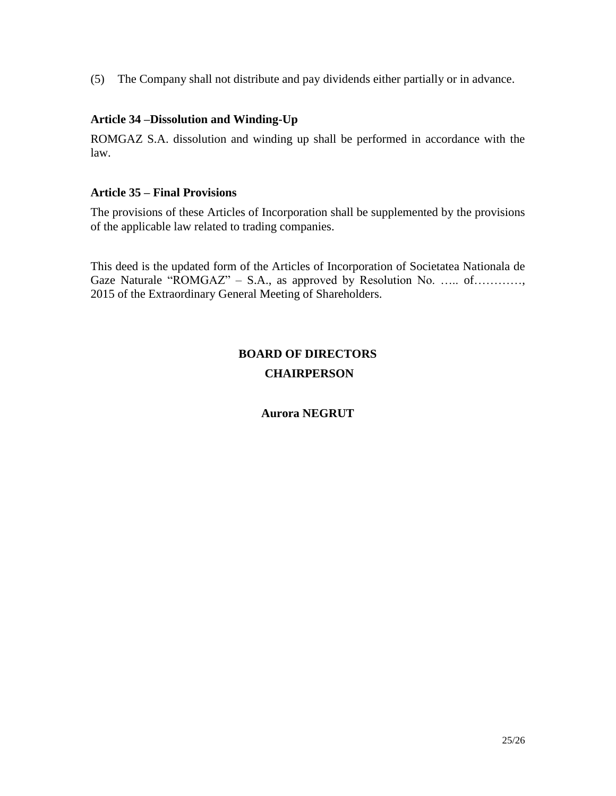(5) The Company shall not distribute and pay dividends either partially or in advance.

## **Article 34 –Dissolution and Winding-Up**

ROMGAZ S.A. dissolution and winding up shall be performed in accordance with the law.

## **Article 35 – Final Provisions**

The provisions of these Articles of Incorporation shall be supplemented by the provisions of the applicable law related to trading companies.

This deed is the updated form of the Articles of Incorporation of Societatea Nationala de Gaze Naturale "ROMGAZ" – S.A., as approved by Resolution No. ….. of…………, 2015 of the Extraordinary General Meeting of Shareholders.

## **BOARD OF DIRECTORS CHAIRPERSON**

## **Aurora NEGRUT**